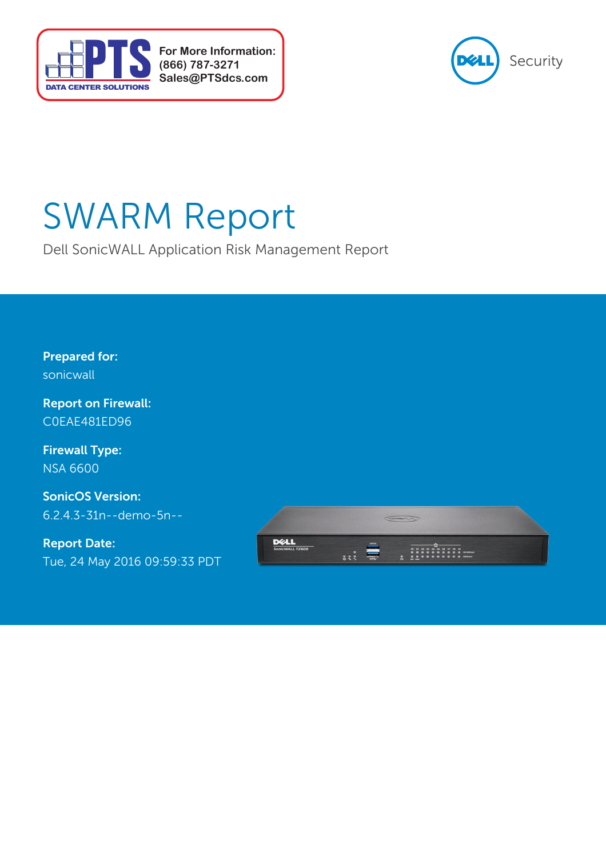

**For More Information: (866) 787-3271 Sales@PTSdcs.com**



# SWARM Report

Dell SonicWALL Application Risk Management Report

**Prepared for:** sonicwall

**Report on Firewall:** C0EAE481ED96

NSA 6600 **Firewall Type:**

6.2.4.3-31n--demo-5n-- **SonicOS Version:**

Tue, 24 May 2016 09:59:33 PDT **Report Date:**

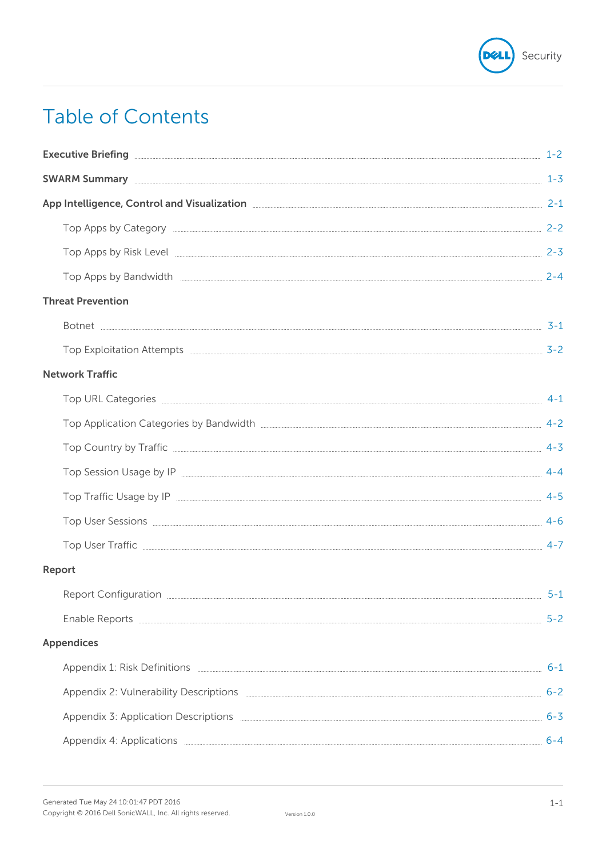

# **Table of Contents**

| SWARM Summary 2-3                                                        |         |
|--------------------------------------------------------------------------|---------|
| App Intelligence, Control and Visualization 2-1 2-1                      |         |
| Top Apps by Category 2-2                                                 |         |
|                                                                          |         |
|                                                                          |         |
| <b>Threat Prevention</b>                                                 |         |
|                                                                          |         |
| Top Exploitation Attempts 2-2                                            |         |
| <b>Network Traffic</b>                                                   |         |
|                                                                          |         |
| Top Application Categories by Bandwidth <b>Engineering Community</b> 4-2 |         |
|                                                                          |         |
|                                                                          |         |
|                                                                          |         |
|                                                                          |         |
|                                                                          |         |
| Report                                                                   |         |
| <b>Report Configuration</b>                                              | $5 - 1$ |
|                                                                          | $5 - 2$ |
| <b>Appendices</b>                                                        |         |
|                                                                          | $6 - 1$ |
|                                                                          | $6 - 2$ |
|                                                                          | $6 - 3$ |
|                                                                          | $6 - 4$ |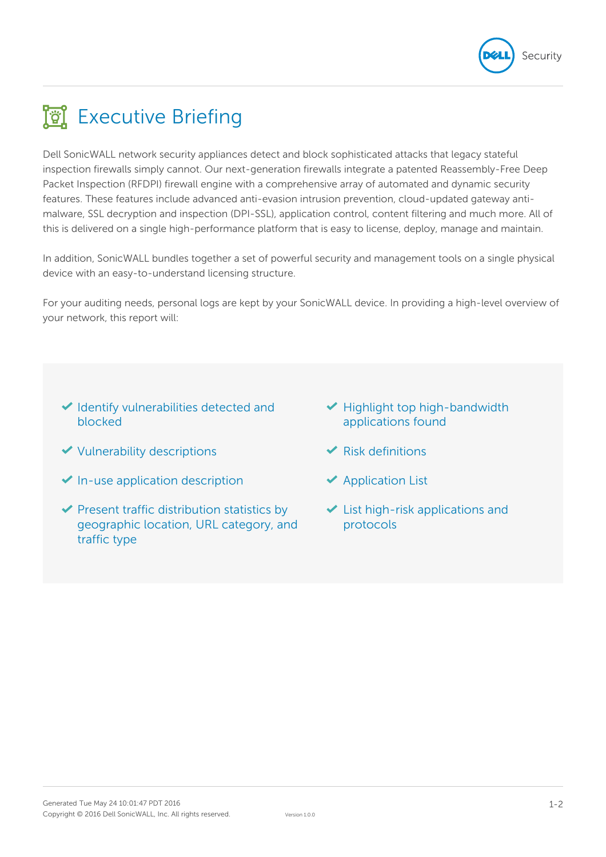

# **Executive Briefing**

Dell SonicWALL network security appliances detect and block sophisticated attacks that legacy stateful inspection firewalls simply cannot. Our next-generation firewalls integrate a patented Reassembly-Free Deep Packet Inspection (RFDPI) firewall engine with a comprehensive array of automated and dynamic security features. These features include advanced anti-evasion intrusion prevention, cloud-updated gateway antimalware, SSL decryption and inspection (DPI-SSL), application control, content filtering and much more. All of this is delivered on a single high-performance platform that is easy to license, deploy, manage and maintain.

In addition, SonicWALL bundles together a set of powerful security and management tools on a single physical device with an easy-to-understand licensing structure.

For your auditing needs, personal logs are kept by your SonicWALL device. In providing a high-level overview of your network, this report will:

- $\blacktriangleright$  Identify vulnerabilities detected and blocked
- $\checkmark$  Vulnerability descriptions
- $\blacktriangleright$  In-use application description
- $\blacktriangleright$  Present traffic distribution statistics by geographic location, URL category, and traffic type
- $\blacktriangleright$  Highlight top high-bandwidth applications found
- $\blacktriangleright$  Risk definitions
- $\blacktriangleright$  Application List
- $\blacktriangleright$  List high-risk applications and protocols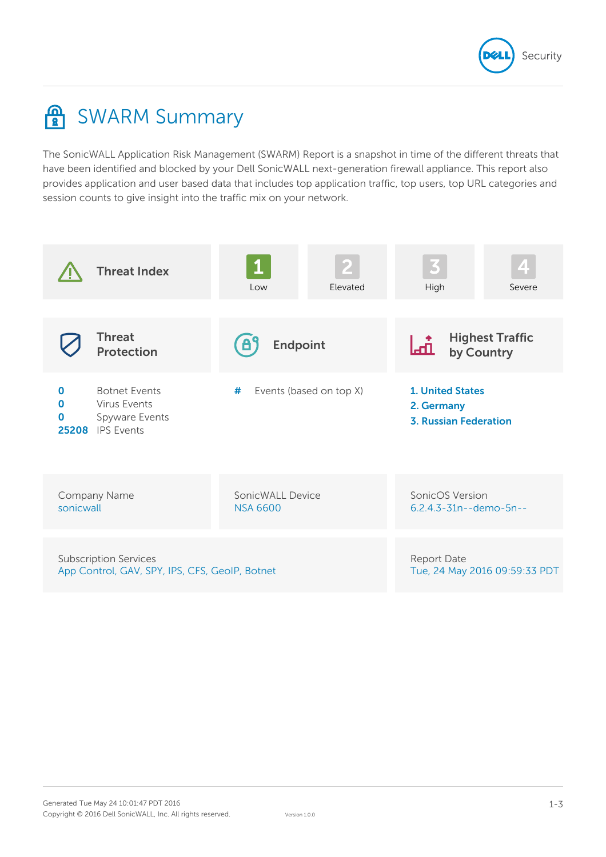

# **A** SWARM Summary

The SonicWALL Application Risk Management (SWARM) Report is a snapshot in time of the different threats that have been identified and blocked by your Dell SonicWALL next-generation firewall appliance. This report also provides application and user based data that includes top application traffic, top users, top URL categories and session counts to give insight into the traffic mix on your network.

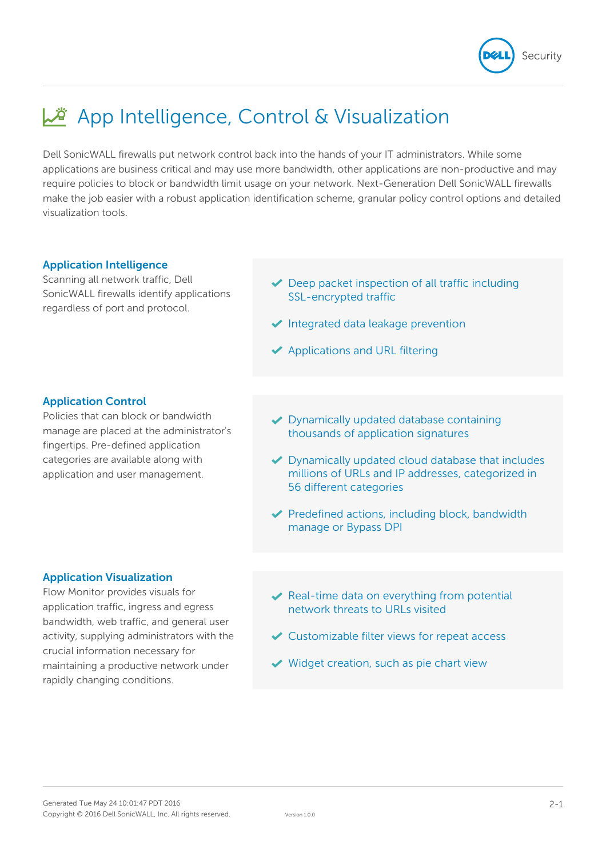

# App Intelligence, Control & Visualization

Dell SonicWALL firewalls put network control back into the hands of your IT administrators. While some applications are business critical and may use more bandwidth, other applications are non-productive and may require policies to block or bandwidth limit usage on your network. Next-Generation Dell SonicWALL firewalls make the job easier with a robust application identification scheme, granular policy control options and detailed visualization tools.

### **Application Intelligence**

Scanning all network traffic, Dell SonicWALL firewalls identify applications regardless of port and protocol.

- $\blacktriangleright$  Deep packet inspection of all traffic including SSL-encrypted traffic
- $\blacktriangleright$  Integrated data leakage prevention
- $\blacktriangleright$  Applications and URL filtering

# **Application Control**

Policies that can block or bandwidth manage are placed at the administrator's fingertips. Pre-defined application categories are available along with application and user management.

- ◆ Dynamically updated database containing thousands of application signatures
- ◆ Dynamically updated cloud database that includes millions of URLs and IP addresses, categorized in 56 different categories
- $\blacktriangleright$  Predefined actions, including block, bandwidth manage or Bypass DPI

### **Application Visualization**

Flow Monitor provides visuals for application traffic, ingress and egress bandwidth, web traffic, and general user activity, supplying administrators with the crucial information necessary for maintaining a productive network under rapidly changing conditions.

- $\vee$  Real-time data on everything from potential network threats to URLs visited
- $\vee$  Customizable filter views for repeat access
- $\vee$  Widget creation, such as pie chart view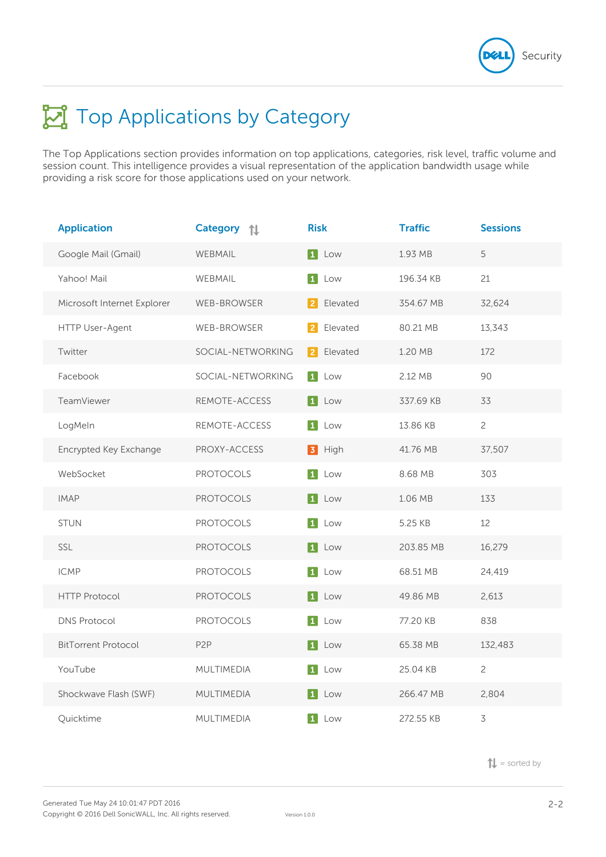

# **Top Applications by Category**

The Top Applications section provides information on top applications, categories, risk level, traffic volume and session count. This intelligence provides a visual representation of the application bandwidth usage while providing a risk score for those applications used on your network.

| <b>Application</b>          | <b>Category</b><br>礼 | <b>Risk</b>                | <b>Traffic</b> | <b>Sessions</b> |
|-----------------------------|----------------------|----------------------------|----------------|-----------------|
| Google Mail (Gmail)         | <b>WEBMAIL</b>       | 1 Low                      | 1.93 MB        | 5               |
| Yahoo! Mail                 | WEBMAIL              | $\boxed{1}$<br>Low         | 196.34 KB      | 21              |
| Microsoft Internet Explorer | <b>WEB-BROWSER</b>   | Elevated<br>2              | 354.67 MB      | 32,624          |
| HTTP User-Agent             | <b>WEB-BROWSER</b>   | Elevated<br>$\overline{2}$ | 80.21 MB       | 13,343          |
| Twitter                     | SOCIAL-NETWORKING    | Elevated<br>$\vert$ 2      | 1.20 MB        | 172             |
| Facebook                    | SOCIAL-NETWORKING    | 1 Low                      | 2.12 MB        | 90              |
| TeamViewer                  | REMOTE-ACCESS        | $\boxed{1}$<br>Low         | 337.69 KB      | 33              |
| LogMeln                     | REMOTE-ACCESS        | 1 Low                      | 13.86 KB       | $\overline{c}$  |
| Encrypted Key Exchange      | PROXY-ACCESS         | <b>3</b> High              | 41.76 MB       | 37,507          |
| WebSocket                   | <b>PROTOCOLS</b>     | 1 Low                      | 8.68 MB        | 303             |
| <b>IMAP</b>                 | <b>PROTOCOLS</b>     | 1 Low                      | 1.06 MB        | 133             |
| <b>STUN</b>                 | <b>PROTOCOLS</b>     | $\boxed{1}$<br>Low         | 5.25 KB        | 12              |
| SSL                         | <b>PROTOCOLS</b>     | 1 Low                      | 203.85 MB      | 16,279          |
| <b>ICMP</b>                 | <b>PROTOCOLS</b>     | $\boxed{1}$<br>Low         | 68.51 MB       | 24,419          |
| <b>HTTP Protocol</b>        | <b>PROTOCOLS</b>     | $\boxed{1}$<br>Low         | 49.86 MB       | 2,613           |
| <b>DNS Protocol</b>         | <b>PROTOCOLS</b>     | $\boxed{1}$<br>Low         | 77.20 KB       | 838             |
| <b>BitTorrent Protocol</b>  | P <sub>2</sub> P     | 1 Low                      | 65.38 MB       | 132,483         |
| YouTube                     | MULTIMEDIA           | 1 <br>Low                  | 25.04 KB       | $\overline{c}$  |
| Shockwave Flash (SWF)       | MULTIMEDIA           | 1 Low                      | 266.47 MB      | 2,804           |
| Quicktime                   | MULTIMEDIA           | $\vert$ 1 $\vert$<br>Low   | 272.55 KB      | 3               |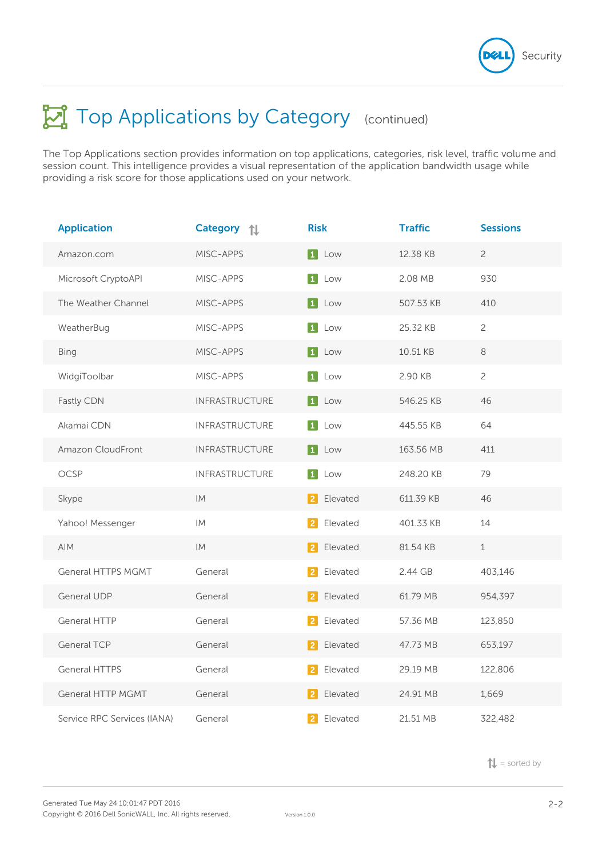

The Top Applications section provides information on top applications, categories, risk level, traffic volume and session count. This intelligence provides a visual representation of the application bandwidth usage while providing a risk score for those applications used on your network.

| <b>Application</b>          | <b>Category</b><br>礼  | <b>Risk</b>                | <b>Traffic</b> | <b>Sessions</b> |
|-----------------------------|-----------------------|----------------------------|----------------|-----------------|
| Amazon.com                  | MISC-APPS             | 1 Low                      | 12.38 KB       | $\overline{c}$  |
| Microsoft CryptoAPI         | MISC-APPS             | $\boxed{1}$<br>Low         | 2.08 MB        | 930             |
| The Weather Channel         | MISC-APPS             | 1 Low                      | 507.53 KB      | 410             |
| WeatherBug                  | MISC-APPS             | $\boxed{1}$<br>Low         | 25.32 KB       | $\overline{c}$  |
| <b>Bing</b>                 | MISC-APPS             | 1 Low                      | 10.51 KB       | $\,8\,$         |
| WidgiToolbar                | MISC-APPS             | $\boxed{1}$<br>Low         | 2.90 KB        | $\overline{c}$  |
| Fastly CDN                  | <b>INFRASTRUCTURE</b> | $\boxed{1}$<br>Low         | 546.25 KB      | 46              |
| Akamai CDN                  | <b>INFRASTRUCTURE</b> | $\boxed{1}$<br>Low         | 445.55 KB      | 64              |
| Amazon CloudFront           | INFRASTRUCTURE        | 1 Low                      | 163.56 MB      | 411             |
| OCSP                        | <b>INFRASTRUCTURE</b> | 1 <br>Low                  | 248.20 KB      | 79              |
| Skype                       | IM                    | Elevated<br>  2            | 611.39 KB      | 46              |
| Yahoo! Messenger            | IM                    | Elevated<br>$\overline{2}$ | 401.33 KB      | 14              |
| AIM                         | IM                    | Elevated<br>$\vert$ 2      | 81.54 KB       | $1\,$           |
| <b>General HTTPS MGMT</b>   | General               | Elevated<br>$\overline{2}$ | 2.44 GB        | 403,146         |
| <b>General UDP</b>          | General               | Elevated<br>$\vert$ 2      | 61.79 MB       | 954,397         |
| <b>General HTTP</b>         | General               | Elevated<br>$\overline{2}$ | 57.36 MB       | 123,850         |
| <b>General TCP</b>          | General               | Elevated<br>$\mathbf{2}$   | 47.73 MB       | 653,197         |
| <b>General HTTPS</b>        | General               | Elevated<br>$\overline{2}$ | 29.19 MB       | 122,806         |
| <b>General HTTP MGMT</b>    | General               | Elevated<br> 2             | 24.91 MB       | 1,669           |
| Service RPC Services (IANA) | General               | Elevated<br>$\overline{2}$ | 21.51 MB       | 322,482         |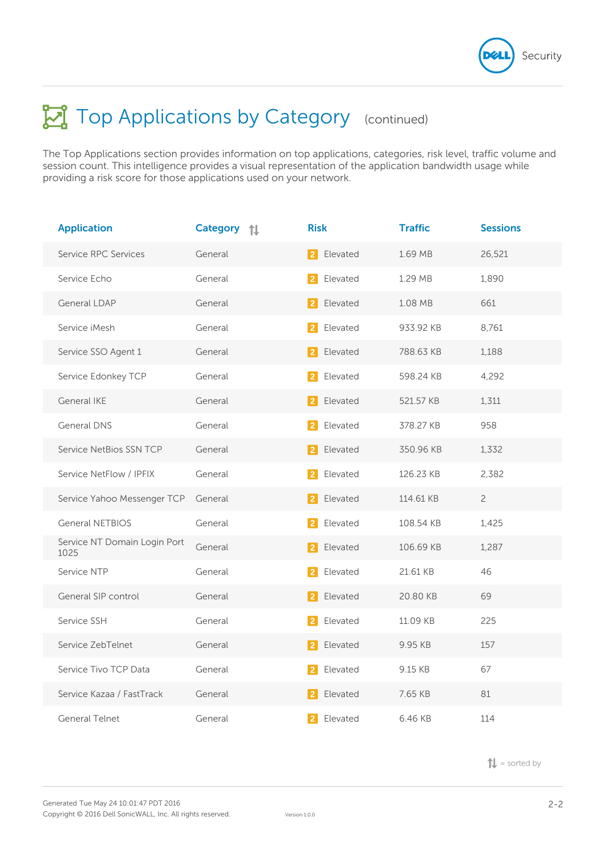

The Top Applications section provides information on top applications, categories, risk level, traffic volume and session count. This intelligence provides a visual representation of the application bandwidth usage while providing a risk score for those applications used on your network.

| <b>Application</b>                   | <b>Category</b><br>讠 | <b>Risk</b>                | <b>Traffic</b> | <b>Sessions</b> |
|--------------------------------------|----------------------|----------------------------|----------------|-----------------|
| Service RPC Services                 | General              | 2 <br>Elevated             | 1.69 MB        | 26,521          |
| Service Echo                         | General              | Elevated<br>-2             | 1.29 MB        | 1,890           |
| General LDAP                         | General              | Elevated<br>  2            | 1.08 MB        | 661             |
| Service iMesh                        | General              | Elevated                   | 933.92 KB      | 8.761           |
| Service SSO Agent 1                  | General              | Elevated<br>$\overline{2}$ | 788.63 KB      | 1,188           |
| Service Edonkey TCP                  | General              | Elevated<br>2              | 598.24 KB      | 4,292           |
| <b>General IKE</b>                   | General              | Elevated<br> 2             | 521.57 KB      | 1,311           |
| <b>General DNS</b>                   | General              | Elevated<br>2              | 378.27 KB      | 958             |
| Service NetBios SSN TCP              | General              | Elevated<br> 2             | 350.96 KB      | 1,332           |
| Service NetFlow / IPFIX              | General              | Elevated<br>$\overline{2}$ | 126.23 KB      | 2,382           |
| Service Yahoo Messenger TCP          | General              | Elevated<br> 2             | 114.61 KB      | $\overline{c}$  |
| <b>General NETBIOS</b>               | General              | Elevated<br>2              | 108.54 KB      | 1,425           |
| Service NT Domain Login Port<br>1025 | General              | Elevated<br>$\vert$ 2      | 106.69 KB      | 1,287           |
| Service NTP                          | General              | Elevated<br>2              | 21.61 KB       | 46              |
| General SIP control                  | General              | Elevated<br>2              | 20.80 KB       | 69              |
| Service SSH                          | General              | Elevated<br>2              | 11.09 KB       | 225             |
| Service ZebTelnet                    | General              | Elevated<br>$\mathbf{2}$   | 9.95 KB        | 157             |
| Service Tivo TCP Data                | General              | Elevated<br>$\overline{2}$ | 9.15 KB        | 67              |
| Service Kazaa / FastTrack            | General              | Elevated<br> 2             | 7.65 KB        | 81              |
| <b>General Telnet</b>                | General              | $\overline{2}$<br>Elevated | 6.46 KB        | 114             |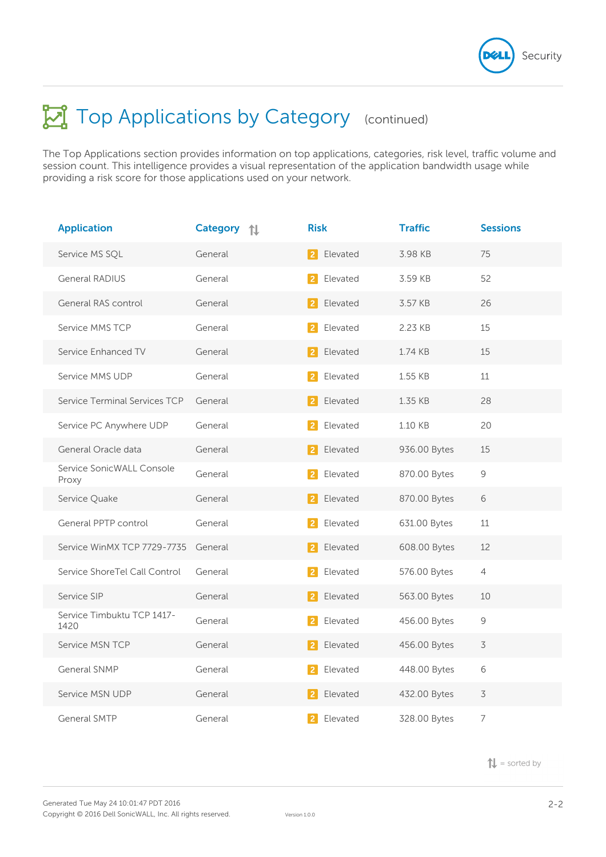

The Top Applications section provides information on top applications, categories, risk level, traffic volume and session count. This intelligence provides a visual representation of the application bandwidth usage while providing a risk score for those applications used on your network.

| <b>Application</b>                 | <b>Category</b><br>讠 | <b>Risk</b>                   | <b>Traffic</b> | <b>Sessions</b> |
|------------------------------------|----------------------|-------------------------------|----------------|-----------------|
| Service MS SQL                     | General              | Elevated<br> 2                | 3.98 KB        | 75              |
| <b>General RADIUS</b>              | General              | Elevated<br>2                 | 3.59 KB        | 52              |
| General RAS control                | General              | Elevated<br><u>  2  </u>      | 3.57 KB        | 26              |
| Service MMS TCP                    | General              | Elevated                      | 2.23 KB        | 15              |
| Service Enhanced TV                | General              | Elevated<br><b>2</b>          | 1.74 KB        | 15              |
| Service MMS UDP                    | General              | Elevated<br>$\vert$ 2         | 1.55 KB        | 11              |
| Service Terminal Services TCP      | General              | Elevated<br> 2                | 1.35 KB        | 28              |
| Service PC Anywhere UDP            | General              | Elevated                      | 1.10 KB        | 20              |
| General Oracle data                | General              | 2 Elevated                    | 936.00 Bytes   | 15              |
| Service SonicWALL Console<br>Proxy | General              | Elevated<br>$\overline{2}$    | 870.00 Bytes   | $\mathcal{G}$   |
| Service Quake                      | General              | Elevated<br>$\vert$ 2 $\vert$ | 870.00 Bytes   | 6               |
| General PPTP control               | General              | Elevated                      | 631.00 Bytes   | 11              |
| Service WinMX TCP 7729-7735        | General              | Elevated<br>21                | 608.00 Bytes   | 12              |
| Service ShoreTel Call Control      | General              | Elevated                      | 576.00 Bytes   | $\overline{4}$  |
| Service SIP                        | General              | Elevated<br>$\vert$ 2         | 563.00 Bytes   | 10              |
| Service Timbuktu TCP 1417-<br>1420 | General              | Elevated<br>2                 | 456.00 Bytes   | $\mathcal{G}$   |
| Service MSN TCP                    | General              | Elevated<br>$\vert$ 2         | 456.00 Bytes   | $\overline{3}$  |
| General SNMP                       | General              | Elevated                      | 448.00 Bytes   | 6               |
| Service MSN UDP                    | General              | Elevated<br>$\vert$ 2 $\vert$ | 432.00 Bytes   | $\overline{3}$  |
| <b>General SMTP</b>                | General              | Elevated<br>$\overline{2}$    | 328.00 Bytes   | $\overline{7}$  |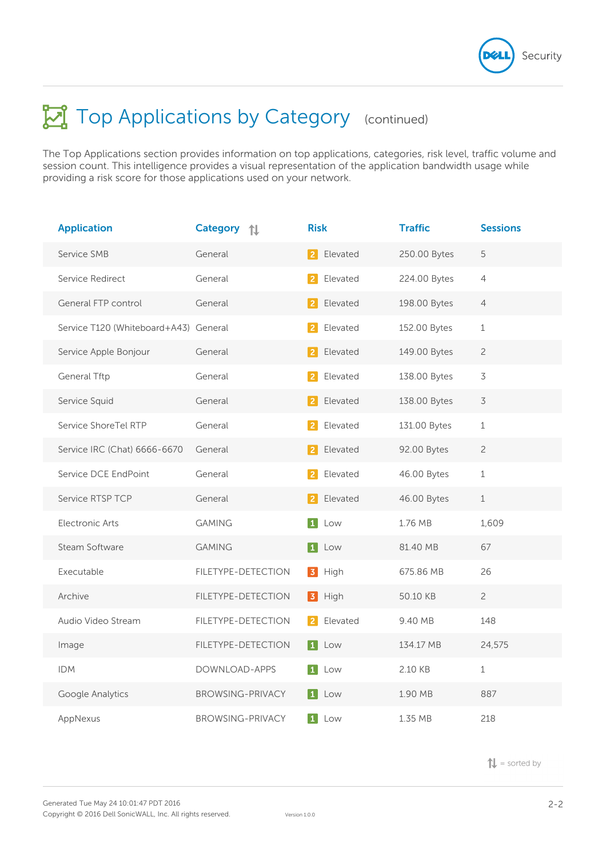

The Top Applications section provides information on top applications, categories, risk level, traffic volume and session count. This intelligence provides a visual representation of the application bandwidth usage while providing a risk score for those applications used on your network.

| <b>Application</b>                    | <b>Category</b><br>讠    | <b>Risk</b>                | <b>Traffic</b> | <b>Sessions</b>          |
|---------------------------------------|-------------------------|----------------------------|----------------|--------------------------|
| Service SMB                           | General                 | 2<br>Elevated              | 250.00 Bytes   | 5                        |
| Service Redirect                      | General                 | Elevated<br>$\overline{2}$ | 224.00 Bytes   | $\overline{4}$           |
| General FTP control                   | General                 | Elevated<br> 2             | 198.00 Bytes   | $\overline{4}$           |
| Service T120 (Whiteboard+A43) General |                         | Elevated                   | 152.00 Bytes   | $1\,$                    |
| Service Apple Bonjour                 | General                 | Elevated<br>$\overline{2}$ | 149.00 Bytes   | $\overline{c}$           |
| General Tftp                          | General                 | Elevated<br>2              | 138.00 Bytes   | $\overline{3}$           |
| Service Squid                         | General                 | Elevated<br>$\vert$ 2      | 138.00 Bytes   | $\overline{\mathcal{S}}$ |
| Service ShoreTel RTP                  | General                 | Elevated                   | 131.00 Bytes   | $1\,$                    |
| Service IRC (Chat) 6666-6670          | General                 | Elevated<br> 2             | 92.00 Bytes    | $\overline{c}$           |
| Service DCE EndPoint                  | General                 | Elevated<br>$\overline{2}$ | 46.00 Bytes    | $1\,$                    |
| Service RTSP TCP                      | General                 | Elevated<br> 2             | 46.00 Bytes    | $\,1$                    |
| <b>Electronic Arts</b>                | <b>GAMING</b>           | 1 <br>Low                  | 1.76 MB        | 1,609                    |
| Steam Software                        | <b>GAMING</b>           | 1 Low                      | 81.40 MB       | 67                       |
| Executable                            | FILETYPE-DETECTION      | 3<br>High                  | 675.86 MB      | 26                       |
| Archive                               | FILETYPE-DETECTION      | High<br>3                  | 50.10 KB       | $\overline{2}$           |
| Audio Video Stream                    | FILETYPE-DETECTION      | Elevated<br>$\vert$ 2      | 9.40 MB        | 148                      |
| Image                                 | FILETYPE-DETECTION      | $\vert$ 1 $\vert$<br>Low   | 134.17 MB      | 24,575                   |
| <b>IDM</b>                            | DOWNLOAD-APPS           | $\vert$ 1 $\vert$<br>Low   | 2.10 KB        | $1\,$                    |
| Google Analytics                      | <b>BROWSING-PRIVACY</b> | $\vert 1 \vert$ Low        | 1.90 MB        | 887                      |
| AppNexus                              | <b>BROWSING-PRIVACY</b> | 1 <br>Low                  | 1.35 MB        | 218                      |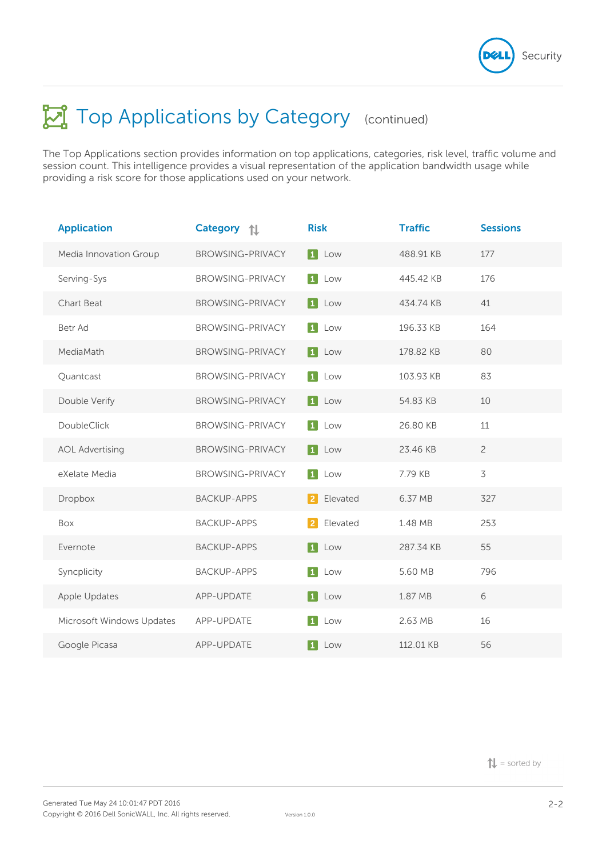

The Top Applications section provides information on top applications, categories, risk level, traffic volume and session count. This intelligence provides a visual representation of the application bandwidth usage while providing a risk score for those applications used on your network.

| <b>Application</b>        | <b>Category</b><br>ᇿ    | <b>Risk</b>              | <b>Traffic</b> | <b>Sessions</b> |
|---------------------------|-------------------------|--------------------------|----------------|-----------------|
| Media Innovation Group    | <b>BROWSING-PRIVACY</b> | 1 Low                    | 488.91 KB      | 177             |
| Serving-Sys               | <b>BROWSING-PRIVACY</b> | 1 Low                    | 445.42 KB      | 176             |
| <b>Chart Beat</b>         | <b>BROWSING-PRIVACY</b> | 1 Low                    | 434.74 KB      | 41              |
| Betr Ad                   | <b>BROWSING-PRIVACY</b> | $\vert 1 \vert$<br>Low   | 196.33 KB      | 164             |
| MediaMath                 | <b>BROWSING-PRIVACY</b> | $\vert 1 \vert$ Low      | 178.82 KB      | 80              |
| Quantcast                 | <b>BROWSING-PRIVACY</b> | 1 Low                    | 103.93 KB      | 83              |
| Double Verify             | <b>BROWSING-PRIVACY</b> | $1$ Low                  | 54.83 KB       | 10              |
| DoubleClick               | <b>BROWSING-PRIVACY</b> | 1 <br>Low                | 26.80 KB       | 11              |
| <b>AOL Advertising</b>    | <b>BROWSING-PRIVACY</b> | 1 Low                    | 23.46 KB       | $\overline{c}$  |
| eXelate Media             | <b>BROWSING-PRIVACY</b> | 1 Low                    | 7.79 KB        | $\overline{3}$  |
| Dropbox                   | <b>BACKUP-APPS</b>      | 2 Elevated               | 6.37 MB        | 327             |
| Box                       | <b>BACKUP-APPS</b>      | Elevated<br><u>  2  </u> | 1.48 MB        | 253             |
| Evernote                  | <b>BACKUP-APPS</b>      | $\vert$ 1<br>Low         | 287.34 KB      | 55              |
| Syncplicity               | <b>BACKUP-APPS</b>      | 1 Low                    | 5.60 MB        | 796             |
| Apple Updates             | APP-UPDATE              | 1 Low                    | 1.87 MB        | 6               |
| Microsoft Windows Updates | APP-UPDATE              | $\vert 1 \vert$<br>Low   | 2.63 MB        | 16              |
| Google Picasa             | APP-UPDATE              | $\vert$ 1 $\vert$<br>Low | 112.01 KB      | 56              |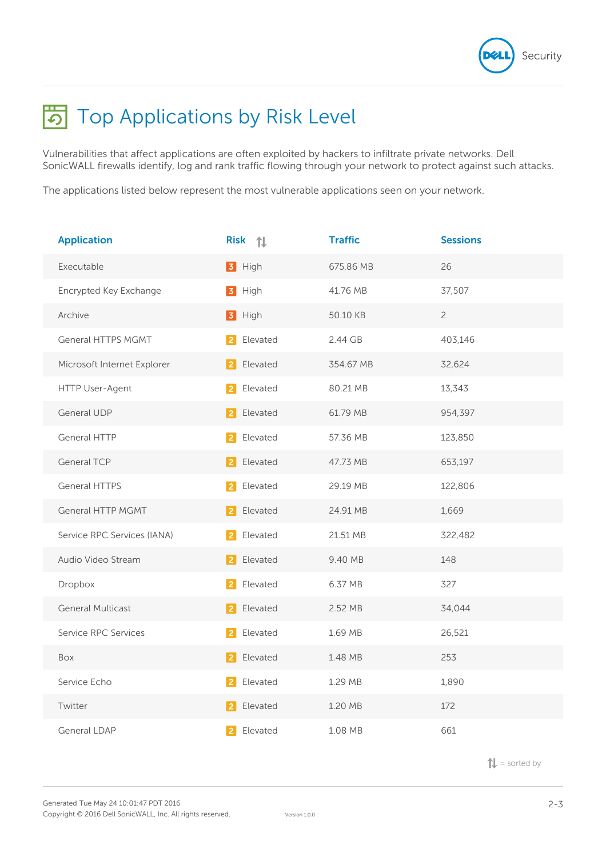

# **不** Top Applications by Risk Level

Vulnerabilities that affect applications are often exploited by hackers to infiltrate private networks. Dell SonicWALL firewalls identify, log and rank traffic flowing through your network to protect against such attacks.

The applications listed below represent the most vulnerable applications seen on your network.

| <b>Application</b>          | Risk 1                     | <b>Traffic</b> | <b>Sessions</b> |
|-----------------------------|----------------------------|----------------|-----------------|
| Executable                  | 3 High                     | 675.86 MB      | 26              |
| Encrypted Key Exchange      | High<br>$\vert 3 \vert$    | 41.76 MB       | 37,507          |
| Archive                     | 3 High                     | 50.10 KB       | $\overline{c}$  |
| General HTTPS MGMT          | Elevated                   | 2.44 GB        | 403,146         |
| Microsoft Internet Explorer | Elevated                   | 354.67 MB      | 32,624          |
| HTTP User-Agent             | Elevated                   | 80.21 MB       | 13,343          |
| <b>General UDP</b>          | Elevated<br>$\overline{2}$ | 61.79 MB       | 954,397         |
| <b>General HTTP</b>         | Elevated                   | 57.36 MB       | 123,850         |
| <b>General TCP</b>          | Elevated                   | 47.73 MB       | 653,197         |
| General HTTPS               | Elevated                   | 29.19 MB       | 122,806         |
| General HTTP MGMT           | Elevated                   | 24.91 MB       | 1,669           |
| Service RPC Services (IANA) | Elevated                   | 21.51 MB       | 322,482         |
| Audio Video Stream          | Elevated<br>$\overline{2}$ | 9.40 MB        | 148             |
| Dropbox                     | Elevated                   | 6.37 MB        | 327             |
| <b>General Multicast</b>    | Elevated                   | 2.52 MB        | 34,044          |
| Service RPC Services        | Elevated                   | 1.69 MB        | 26,521          |
| Box                         | Elevated                   | 1.48 MB        | 253             |
| Service Echo                | Elevated                   | 1.29 MB        | 1,890           |
| Twitter                     | Elevated                   | 1.20 MB        | 172             |
| General LDAP                | Elevated                   | 1.08 MB        | 661             |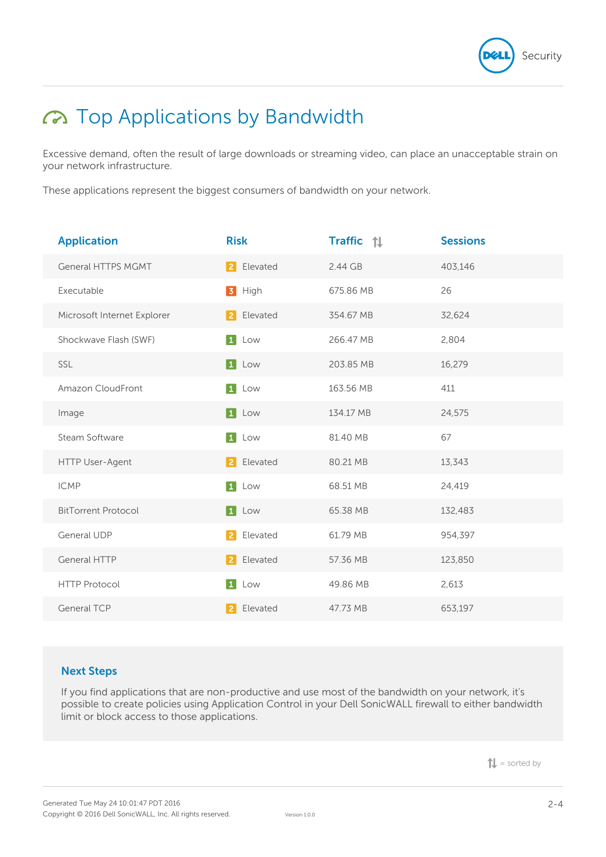

# Top Applications by Bandwidth

Excessive demand, often the result of large downloads or streaming video, can place an unacceptable strain on your network infrastructure.

These applications represent the biggest consumers of bandwidth on your network.

| <b>Application</b>          | <b>Risk</b>                | <b>Traffic</b> 1 | <b>Sessions</b> |
|-----------------------------|----------------------------|------------------|-----------------|
| <b>General HTTPS MGMT</b>   | 2 Elevated                 | 2.44 GB          | 403,146         |
| Executable                  | 3 High                     | 675.86 MB        | 26              |
| Microsoft Internet Explorer | Elevated<br><u> 2  </u>    | 354.67 MB        | 32,624          |
| Shockwave Flash (SWF)       | $\vert$ 1<br>Low           | 266.47 MB        | 2,804           |
| SSL                         | 1 Low                      | 203.85 MB        | 16,279          |
| Amazon CloudFront           | $\vert 1 \vert$<br>Low     | 163.56 MB        | 411             |
| Image                       | 1 Low                      | 134.17 MB        | 24,575          |
| Steam Software              | $\vert 1 \vert$<br>Low     | 81.40 MB         | 67              |
| HTTP User-Agent             | Elevated<br><u> 2  </u>    | 80.21 MB         | 13,343          |
| <b>ICMP</b>                 | $\boxed{1}$<br>Low         | 68.51 MB         | 24,419          |
| <b>BitTorrent Protocol</b>  | 1 Low                      | 65.38 MB         | 132,483         |
| General UDP                 | Elevated<br> 2             | 61.79 MB         | 954,397         |
| <b>General HTTP</b>         | Elevated<br><u> 2  </u>    | 57.36 MB         | 123,850         |
| <b>HTTP Protocol</b>        | 1 <br>Low                  | 49.86 MB         | 2,613           |
| <b>General TCP</b>          | $\overline{2}$<br>Elevated | 47.73 MB         | 653,197         |

# **Next Steps**

If you find applications that are non-productive and use most of the bandwidth on your network, it's possible to create policies using Application Control in your Dell SonicWALL firewall to either bandwidth limit or block access to those applications.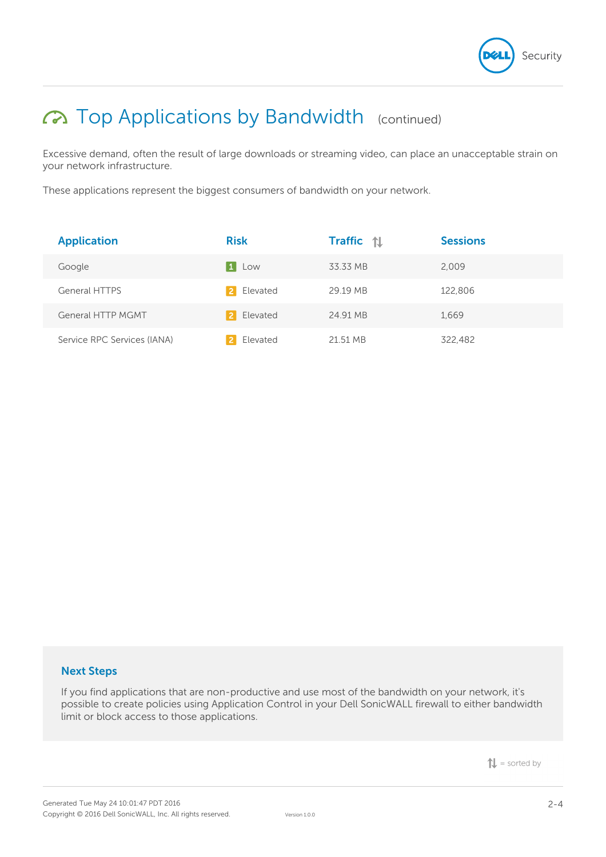

# Top Applications by Bandwidth (continued)

Excessive demand, often the result of large downloads or streaming video, can place an unacceptable strain on your network infrastructure.

These applications represent the biggest consumers of bandwidth on your network.

| <b>Application</b>          | <b>Risk</b>   | <b>Traffic</b> 1 | <b>Sessions</b> |
|-----------------------------|---------------|------------------|-----------------|
| Google                      | Low<br>  1    | 33.33 MB         | 2,009           |
| <b>General HTTPS</b>        | Elevated<br>2 | 29.19 MB         | 122,806         |
| <b>General HTTP MGMT</b>    | Elevated      | 24.91 MB         | 1,669           |
| Service RPC Services (IANA) | Elevated      | 21.51 MB         | 322,482         |

### **Next Steps**

If you find applications that are non-productive and use most of the bandwidth on your network, it's possible to create policies using Application Control in your Dell SonicWALL firewall to either bandwidth limit or block access to those applications.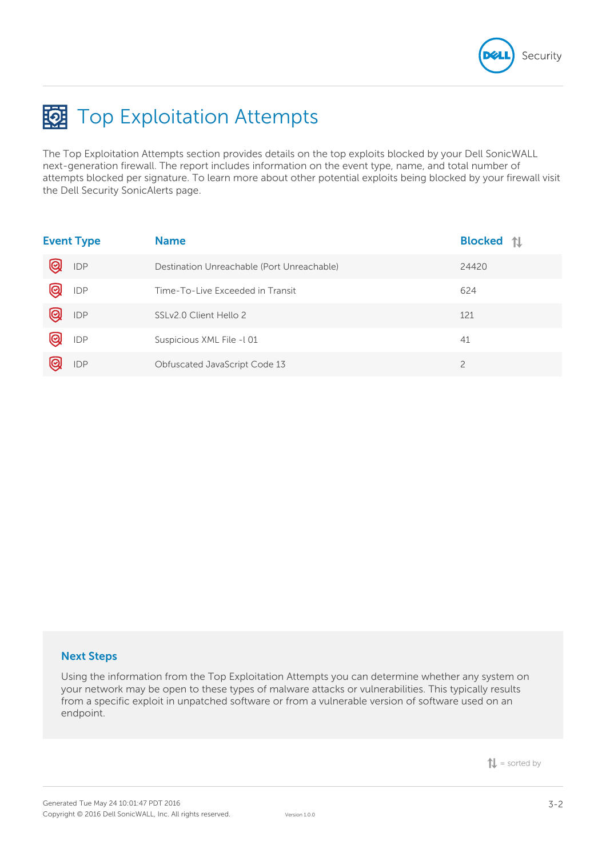

# **国** Top Exploitation Attempts

The Top Exploitation Attempts section provides details on the top exploits blocked by your Dell SonicWALL next-generation firewall. The report includes information on the event type, name, and total number of attempts blocked per signature. To learn more about other potential exploits being blocked by your firewall visit the Dell Security SonicAlerts page.

|   | <b>Event Type</b> | <b>Name</b>                                | <b>Blocked</b> 1 |
|---|-------------------|--------------------------------------------|------------------|
| Q | <b>IDP</b>        | Destination Unreachable (Port Unreachable) | 24420            |
|   | IDP               | Time-To-Live Exceeded in Transit           | 624              |
| @ | IDP               | SSLv2.0 Client Hello 2                     | 121              |
|   | <b>IDP</b>        | Suspicious XML File -101                   | 41               |
|   | <b>IDP</b>        | Obfuscated JavaScript Code 13              | $\overline{2}$   |

### **Next Steps**

Using the information from the Top Exploitation Attempts you can determine whether any system on your network may be open to these types of malware attacks or vulnerabilities. This typically results from a specific exploit in unpatched software or from a vulnerable version of software used on an endpoint.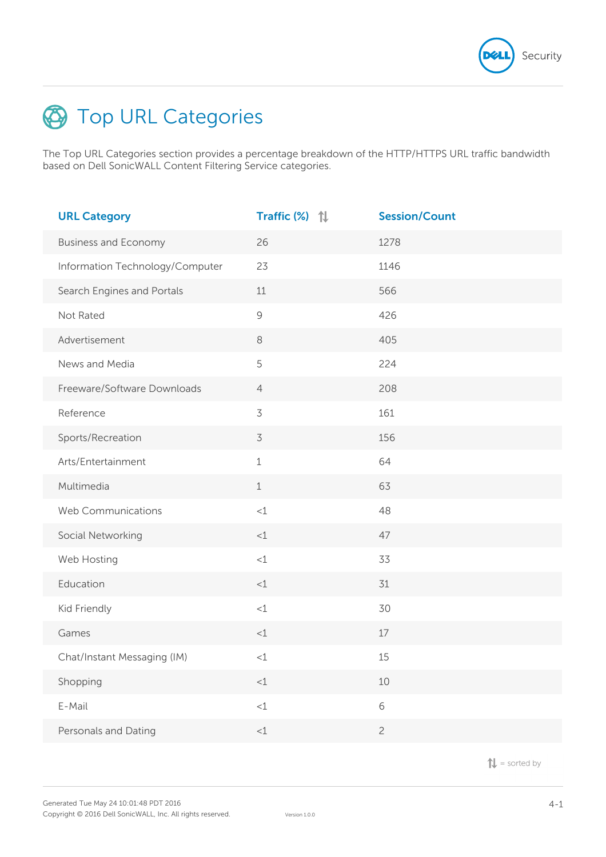

# **S** Top URL Categories

The Top URL Categories section provides a percentage breakdown of the HTTP/HTTPS URL traffic bandwidth based on Dell SonicWALL Content Filtering Service categories.

| <b>URL Category</b>             | Traffic (%) 1  | <b>Session/Count</b> |
|---------------------------------|----------------|----------------------|
| <b>Business and Economy</b>     | 26             | 1278                 |
| Information Technology/Computer | 23             | 1146                 |
| Search Engines and Portals      | 11             | 566                  |
| Not Rated                       | $\mathcal{G}$  | 426                  |
| Advertisement                   | $\,8\,$        | 405                  |
| News and Media                  | 5              | 224                  |
| Freeware/Software Downloads     | $\overline{4}$ | 208                  |
| Reference                       | $\overline{3}$ | 161                  |
| Sports/Recreation               | $\overline{3}$ | 156                  |
| Arts/Entertainment              | $\mathbf 1$    | 64                   |
| Multimedia                      | $\mathbf 1$    | 63                   |
| Web Communications              | $<1$           | 48                   |
| Social Networking               | <1             | 47                   |
| Web Hosting                     | $<1$           | 33                   |
| Education                       | <1             | 31                   |
| Kid Friendly                    | $<1$           | 30                   |
| Games                           | $<\!\!1$       | $17\,$               |
| Chat/Instant Messaging (IM)     | $<1$           | 15                   |
| Shopping                        | $<$ 1          | 10                   |
| E-Mail                          | <1             | 6                    |
| Personals and Dating            | ${<}1$         | $\overline{c}$       |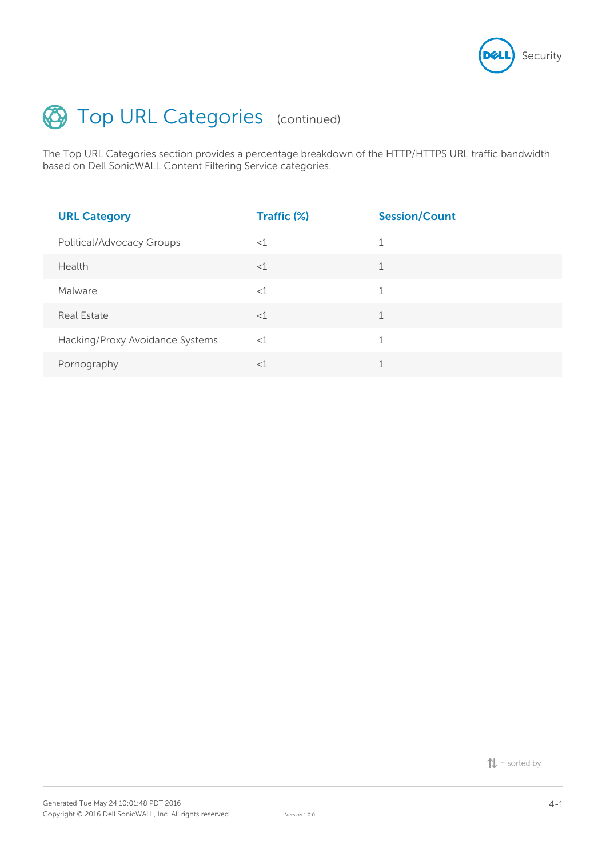

# Top URL Categories (continued)

The Top URL Categories section provides a percentage breakdown of the HTTP/HTTPS URL traffic bandwidth based on Dell SonicWALL Content Filtering Service categories.

| <b>URL Category</b>             | Traffic (%) | <b>Session/Count</b> |
|---------------------------------|-------------|----------------------|
| Political/Advocacy Groups       | $<$ 1       | $\mathbf 1$          |
| Health                          | $<$ 1       | 1                    |
| Malware                         | $<$ 1       | 1                    |
| Real Estate                     | $<$ 1       | $\mathbf{1}$         |
| Hacking/Proxy Avoidance Systems | $<$ 1       | 1                    |
| Pornography                     | $<$ 1       | $\overline{ }$       |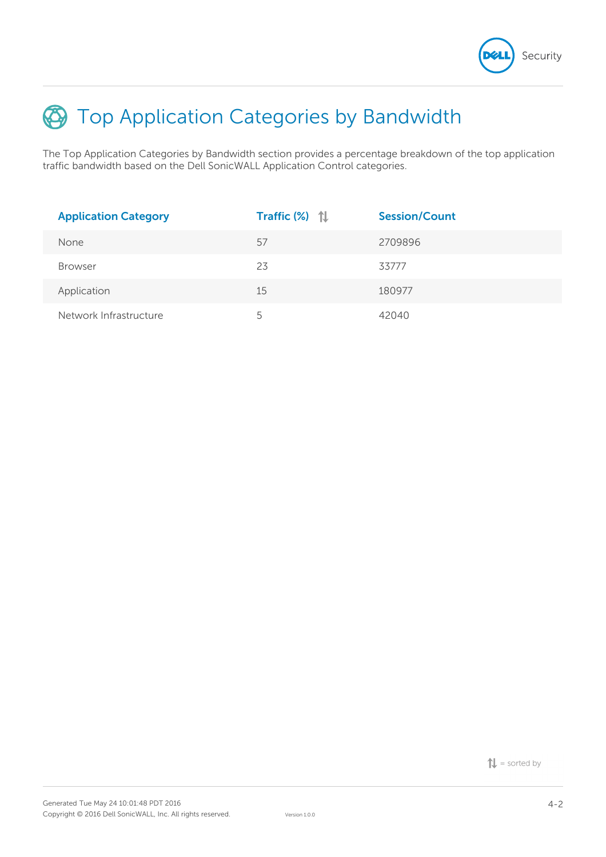

# **E** Top Application Categories by Bandwidth

The Top Application Categories by Bandwidth section provides a percentage breakdown of the top application traffic bandwidth based on the Dell SonicWALL Application Control categories.

| <b>Application Category</b> | Traffic $(\%)$ $\uparrow\downarrow$ | <b>Session/Count</b> |
|-----------------------------|-------------------------------------|----------------------|
| None                        | 57                                  | 2709896              |
| <b>Browser</b>              | 23                                  | 33777                |
| Application                 | 15                                  | 180977               |
| Network Infrastructure      | 5                                   | 42040                |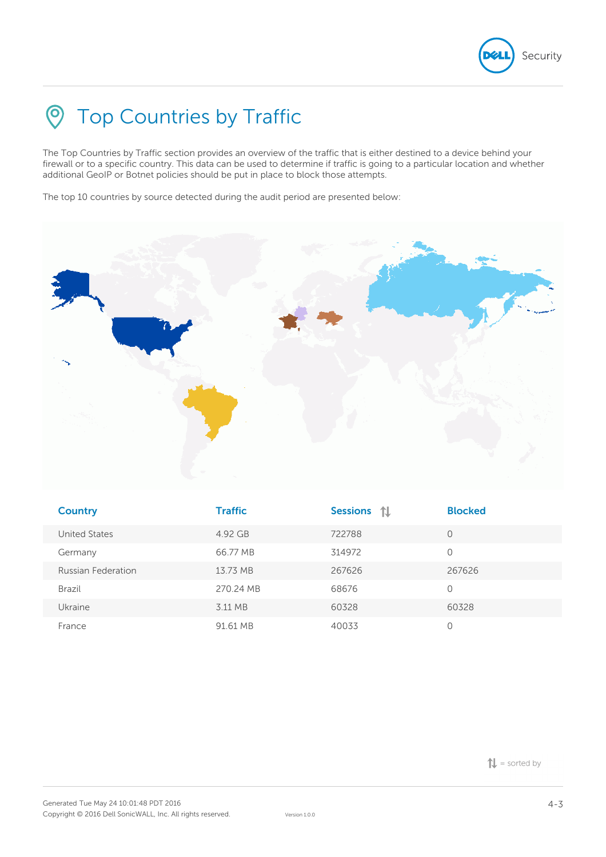

# **S** Top Countries by Traffic

The Top Countries by Traffic section provides an overview of the traffic that is either destined to a device behind your firewall or to a specific country. This data can be used to determine if traffic is going to a particular location and whether additional GeoIP or Botnet policies should be put in place to block those attempts.

The top 10 countries by source detected during the audit period are presented below:



| <b>Country</b>     | <b>Traffic</b> | <b>Sessions</b><br>11 | <b>Blocked</b> |
|--------------------|----------------|-----------------------|----------------|
| United States      | 4.92 GB        | 722788                | 0              |
| Germany            | 66.77 MB       | 314972                | 0              |
| Russian Federation | 13.73 MB       | 267626                | 267626         |
| Brazil             | 270.24 MB      | 68676                 | 0              |
| Ukraine            | 3.11 MB        | 60328                 | 60328          |
| France             | 91.61 MB       | 40033                 |                |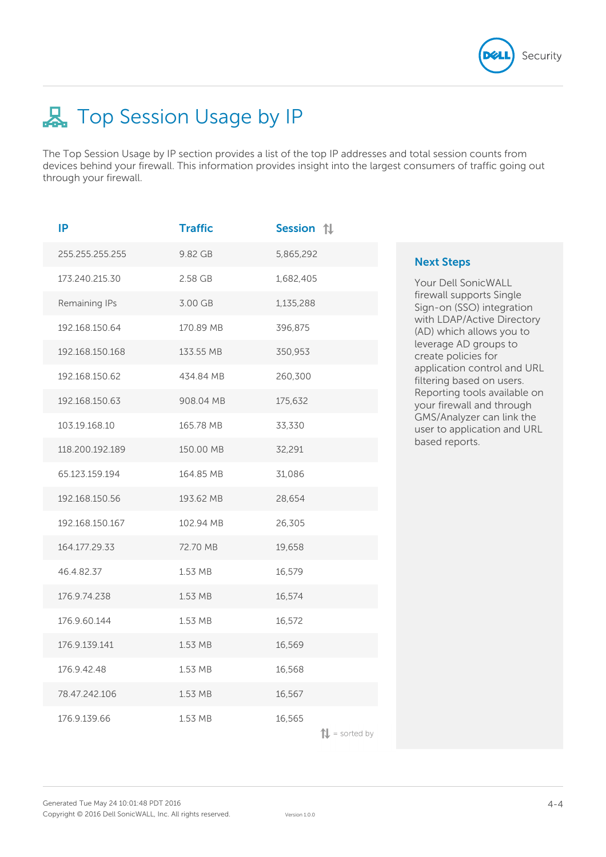

# **品** Top Session Usage by IP

The Top Session Usage by IP section provides a list of the top IP addresses and total session counts from devices behind your firewall. This information provides insight into the largest consumers of traffic going out through your firewall.

| IP              | <b>Traffic</b> | Session 1                          |                                                           |
|-----------------|----------------|------------------------------------|-----------------------------------------------------------|
| 255.255.255.255 | 9.82 GB        | 5,865,292                          | <b>Next Steps</b>                                         |
| 173.240.215.30  | 2.58 GB        | 1,682,405                          | Your Dell SonicWALL                                       |
| Remaining IPs   | 3.00 GB        | 1,135,288                          | firewall supports Single<br>Sign-on (SSO) integration     |
| 192.168.150.64  | 170.89 MB      | 396,875                            | with LDAP/Active Directory<br>(AD) which allows you to    |
| 192.168.150.168 | 133.55 MB      | 350,953                            | leverage AD groups to<br>create policies for              |
| 192.168.150.62  | 434.84 MB      | 260,300                            | application control and URL<br>filtering based on users.  |
| 192.168.150.63  | 908.04 MB      | 175,632                            | Reporting tools available on<br>your firewall and through |
| 103.19.168.10   | 165.78 MB      | 33,330                             | GMS/Analyzer can link the<br>user to application and URL  |
| 118.200.192.189 | 150.00 MB      | 32,291                             | based reports.                                            |
| 65.123.159.194  | 164.85 MB      | 31,086                             |                                                           |
| 192.168.150.56  | 193.62 MB      | 28,654                             |                                                           |
| 192.168.150.167 | 102.94 MB      | 26,305                             |                                                           |
| 164.177.29.33   | 72.70 MB       | 19,658                             |                                                           |
| 46.4.82.37      | 1.53 MB        | 16,579                             |                                                           |
| 176.9.74.238    | 1.53 MB        | 16,574                             |                                                           |
| 176.9.60.144    | 1.53 MB        | 16,572                             |                                                           |
| 176.9.139.141   | 1.53 MB        | 16,569                             |                                                           |
| 176.9.42.48     | 1.53 MB        | 16,568                             |                                                           |
| 78.47.242.106   | 1.53 MB        | 16,567                             |                                                           |
| 176.9.139.66    | 1.53 MB        | 16,565<br>$\mathbf{L}$ = sorted by |                                                           |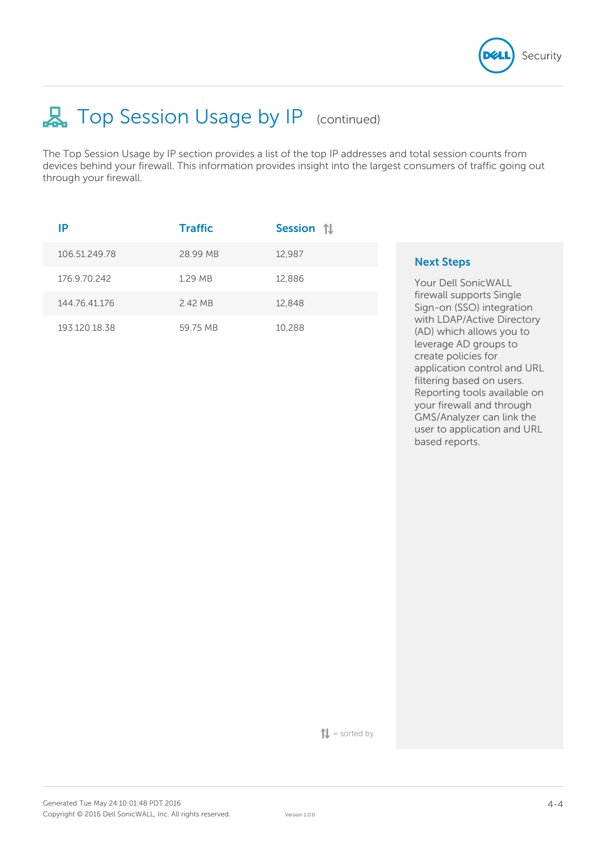

user to application and URL

based reports.

# **具 Top Session Usage by IP** (continued)

The Top Session Usage by IP section provides a list of the top IP addresses and total session counts from devices behind your firewall. This information provides insight into the largest consumers of traffic going out through your firewall.

| ΙP            | <b>Traffic</b> | Session 1 |                                                                                                                                                                                                                                                              |
|---------------|----------------|-----------|--------------------------------------------------------------------------------------------------------------------------------------------------------------------------------------------------------------------------------------------------------------|
| 106.51.249.78 | 28.99 MB       | 12.987    | <b>Next Steps</b>                                                                                                                                                                                                                                            |
| 176.9.70.242  | 1.29 MB        | 12,886    | <b>Your Dell SonicWALL</b>                                                                                                                                                                                                                                   |
| 144.76.41.176 | 2.42 MB        | 12.848    | firewall supports Single<br>Sign-on (SSO) integration                                                                                                                                                                                                        |
| 193.120.18.38 | 59.75 MB       | 10,288    | with LDAP/Active Directory<br>(AD) which allows you to<br>leverage AD groups to<br>create policies for<br>application control and URL<br>filtering based on users.<br>Reporting tools available on<br>your firewall and through<br>GMS/Analyzer can link the |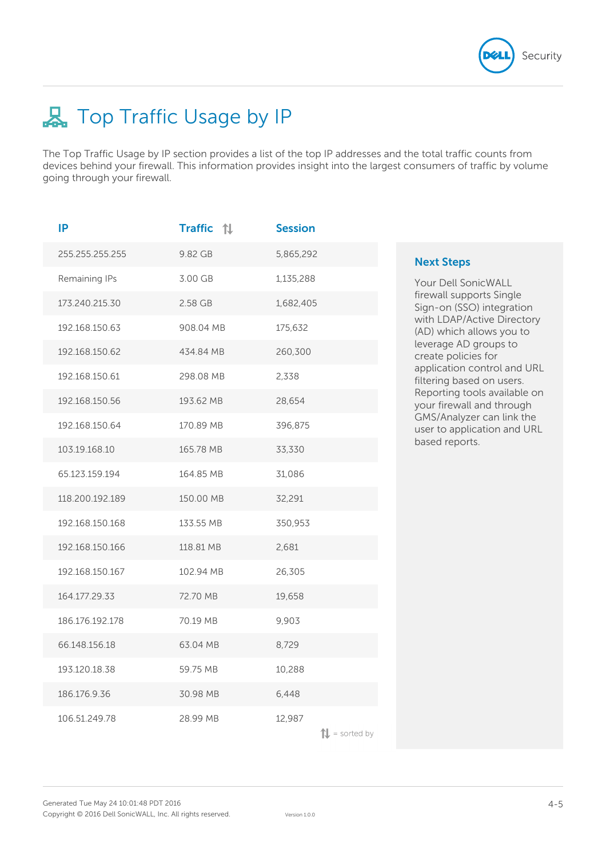

# **品** Top Traffic Usage by IP

The Top Traffic Usage by IP section provides a list of the top IP addresses and the total traffic counts from devices behind your firewall. This information provides insight into the largest consumers of traffic by volume going through your firewall.

| IP              | <b>Traffic</b> 1 | <b>Session</b>                     |                        |
|-----------------|------------------|------------------------------------|------------------------|
| 255.255.255.255 | 9.82 GB          | 5,865,292                          | Ne                     |
| Remaining IPs   | 3.00 GB          | 1,135,288                          | Yo                     |
| 173.240.215.30  | 2.58 GB          | 1,682,405                          | fire<br>Sic            |
| 192.168.150.63  | 908.04 MB        | 175,632                            | wit<br>(AI             |
| 192.168.150.62  | 434.84 MB        | 260,300                            | lev<br>Cr <sub>6</sub> |
| 192.168.150.61  | 298.08 MB        | 2,338                              | ap<br>filt             |
| 192.168.150.56  | 193.62 MB        | 28,654                             | Re<br>yo               |
| 192.168.150.64  | 170.89 MB        | 396,875                            | GN<br>US <sub>I</sub>  |
| 103.19.168.10   | 165.78 MB        | 33,330                             | ba                     |
| 65.123.159.194  | 164.85 MB        | 31,086                             |                        |
| 118.200.192.189 | 150.00 MB        | 32,291                             |                        |
| 192.168.150.168 | 133.55 MB        | 350,953                            |                        |
| 192.168.150.166 | 118.81 MB        | 2,681                              |                        |
| 192.168.150.167 | 102.94 MB        | 26,305                             |                        |
| 164.177.29.33   | 72.70 MB         | 19,658                             |                        |
| 186.176.192.178 | 70.19 MB         | 9,903                              |                        |
| 66.148.156.18   | 63.04 MB         | 8,729                              |                        |
| 193.120.18.38   | 59.75 MB         | 10,288                             |                        |
| 186.176.9.36    | 30.98 MB         | 6,448                              |                        |
| 106.51.249.78   | 28.99 MB         | 12,987<br>$\mathbf{L}$ = sorted by |                        |

# **Next Steps**

ur Dell SonicWALL ewall supports Single gn-on (SSO) integration th LDAP/Active Directory D) which allows you to erage AD groups to eate policies for plication control and URL ering based on users. porting tools available on ur firewall and through MS/Analyzer can link the er to application and URL sed reports.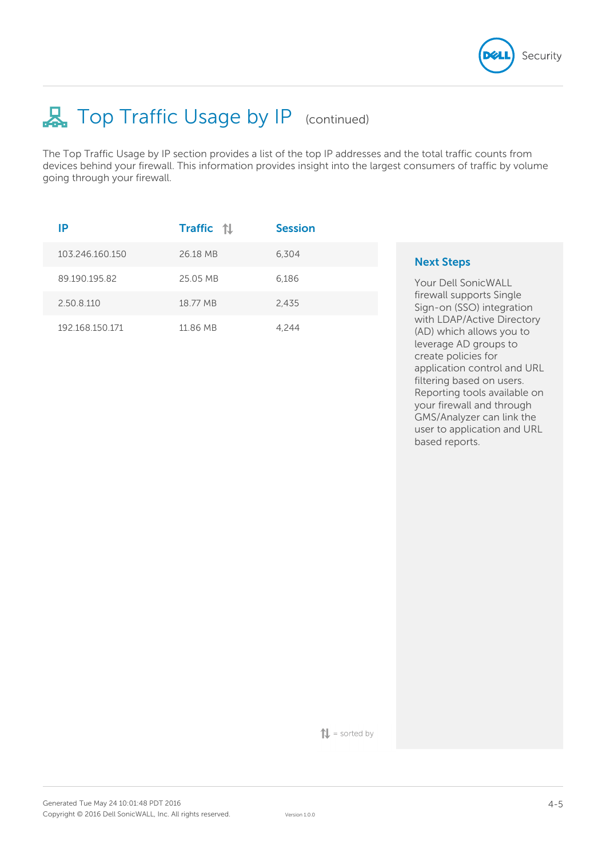

application control and URL filtering based on users. Reporting tools available on your firewall and through GMS/Analyzer can link the user to application and URL

based reports.

# **具 Top Traffic Usage by IP** (continued)

The Top Traffic Usage by IP section provides a list of the top IP addresses and the total traffic counts from devices behind your firewall. This information provides insight into the largest consumers of traffic by volume going through your firewall.

| IP              | <b>Traffic</b> | <b>Session</b> |                                                                                                        |
|-----------------|----------------|----------------|--------------------------------------------------------------------------------------------------------|
| 103.246.160.150 | 26.18 MB       | 6.304          | <b>Next Steps</b>                                                                                      |
| 89.190.195.82   | 25.05 MB       | 6.186          | Your Dell SonicWALL                                                                                    |
| 2.50.8.110      | 18.77 MB       | 2.435          | firewall supports Single<br>Sign-on (SSO) integration                                                  |
| 192.168.150.171 | 11.86 MB       | 4.244          | with LDAP/Active Directory<br>(AD) which allows you to<br>leverage AD groups to<br>create policies for |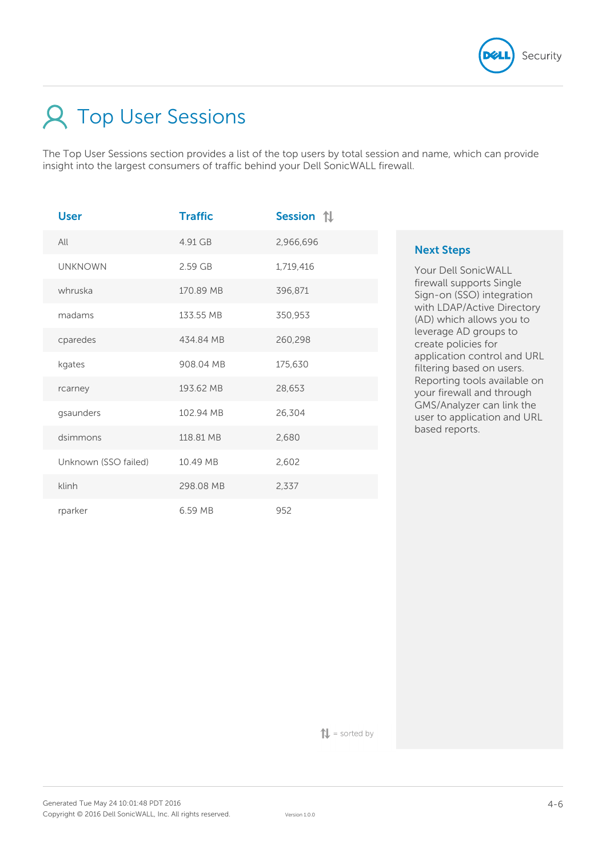

# Top User Sessions

The Top User Sessions section provides a list of the top users by total session and name, which can provide insight into the largest consumers of traffic behind your Dell SonicWALL firewall.

| <b>User</b>          | <b>Traffic</b> | Session 1 |
|----------------------|----------------|-----------|
| All                  | 4.91 GB        | 2,966,696 |
| <b>UNKNOWN</b>       | 2.59 GB        | 1,719,416 |
| whruska              | 170.89 MB      | 396,871   |
| madams               | 133.55 MB      | 350,953   |
| cparedes             | 434.84 MB      | 260,298   |
| kgates               | 908.04 MB      | 175,630   |
| rcarney              | 193.62 MB      | 28,653    |
| gsaunders            | 102.94 MB      | 26,304    |
| dsimmons             | 118.81 MB      | 2,680     |
| Unknown (SSO failed) | 10.49 MB       | 2,602     |
| klinh                | 298.08 MB      | 2,337     |
| rparker              | 6.59 MB        | 952       |

# **Next Steps**

Your Dell SonicWALL firewall supports Single Sign-on (SSO) integration with LDAP/Active Directory (AD) which allows you to leverage AD groups to create policies for application control and URL filtering based on users. Reporting tools available on your firewall and through GMS/Analyzer can link the user to application and URL based reports.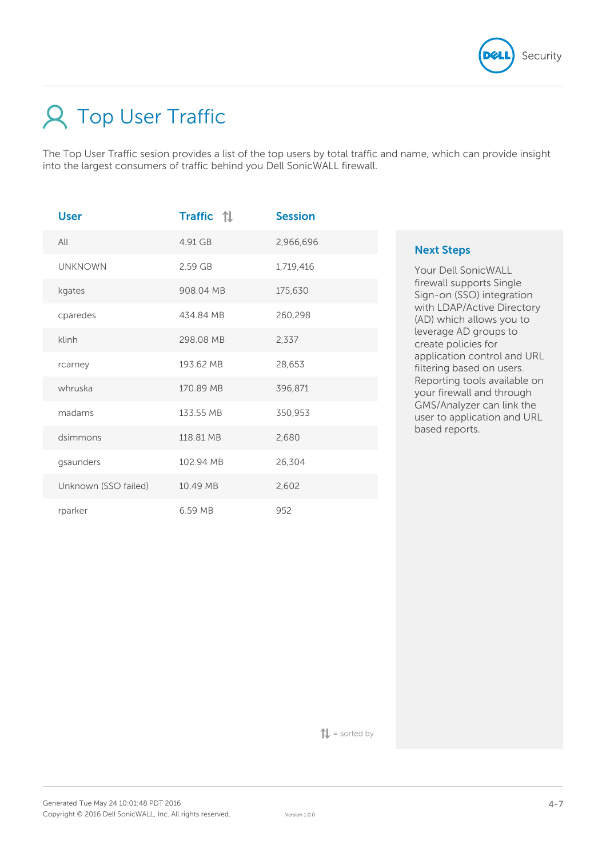

# **A** Top User Traffic

The Top User Traffic sesion provides a list of the top users by total traffic and name, which can provide insight into the largest consumers of traffic behind you Dell SonicWALL firewall.

| <b>User</b>          | <b>Traffic</b> 1 | <b>Session</b> |
|----------------------|------------------|----------------|
| All                  | 4.91 GB          | 2,966,696      |
| <b>UNKNOWN</b>       | 2.59 GB          | 1,719,416      |
| kgates               | 908.04 MB        | 175,630        |
| cparedes             | 434.84 MB        | 260,298        |
| klinh                | 298.08 MB        | 2,337          |
| rcarney              | 193.62 MB        | 28,653         |
| whruska              | 170.89 MB        | 396,871        |
| madams               | 133.55 MB        | 350,953        |
| dsimmons             | 118.81 MB        | 2,680          |
| gsaunders            | 102.94 MB        | 26,304         |
| Unknown (SSO failed) | 10.49 MB         | 2,602          |
| rparker              | 6.59 MB          | 952            |

# **Next Steps**

Your Dell SonicWALL firewall supports Single Sign-on (SSO) integration with LDAP/Active Directory (AD) which allows you to leverage AD groups to create policies for application control and URL filtering based on users. Reporting tools available on your firewall and through GMS/Analyzer can link the user to application and URL based reports.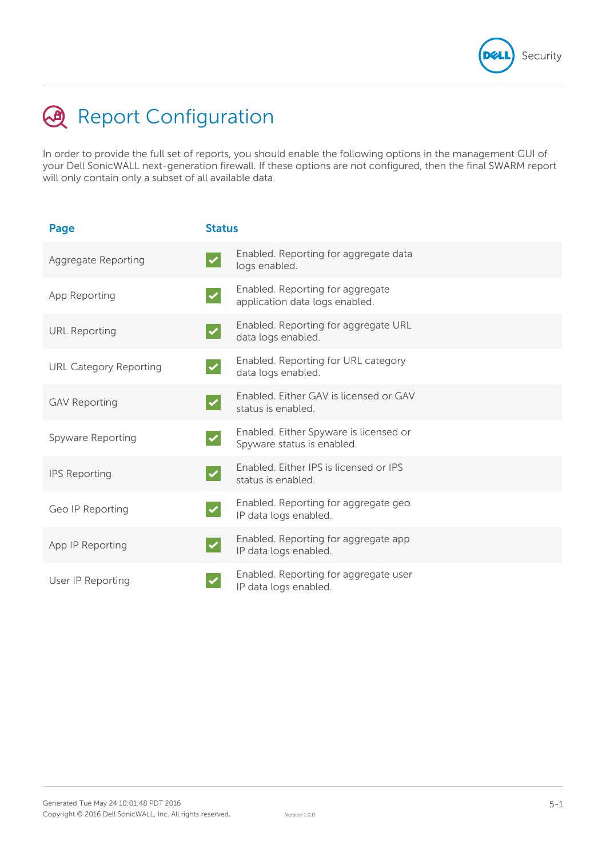

# **A** Report Configuration

In order to provide the full set of reports, you should enable the following options in the management GUI of your Dell SonicWALL next-generation firewall. If these options are not configured, then the final SWARM report will only contain only a subset of all available data.

| Page                          | <b>Status</b> |                                                                      |
|-------------------------------|---------------|----------------------------------------------------------------------|
| Aggregate Reporting           |               | Enabled. Reporting for aggregate data<br>logs enabled.               |
| App Reporting                 |               | Enabled. Reporting for aggregate<br>application data logs enabled.   |
| <b>URL Reporting</b>          |               | Enabled. Reporting for aggregate URL<br>data logs enabled.           |
| <b>URL Category Reporting</b> |               | Enabled. Reporting for URL category<br>data logs enabled.            |
| <b>GAV Reporting</b>          |               | Enabled. Either GAV is licensed or GAV<br>status is enabled.         |
| Spyware Reporting             |               | Enabled. Either Spyware is licensed or<br>Spyware status is enabled. |
| <b>IPS Reporting</b>          |               | Enabled. Either IPS is licensed or IPS<br>status is enabled.         |
| Geo IP Reporting              |               | Enabled. Reporting for aggregate geo<br>IP data logs enabled.        |
| App IP Reporting              |               | Enabled. Reporting for aggregate app<br>IP data logs enabled.        |
| User IP Reporting             |               | Enabled. Reporting for aggregate user<br>IP data logs enabled.       |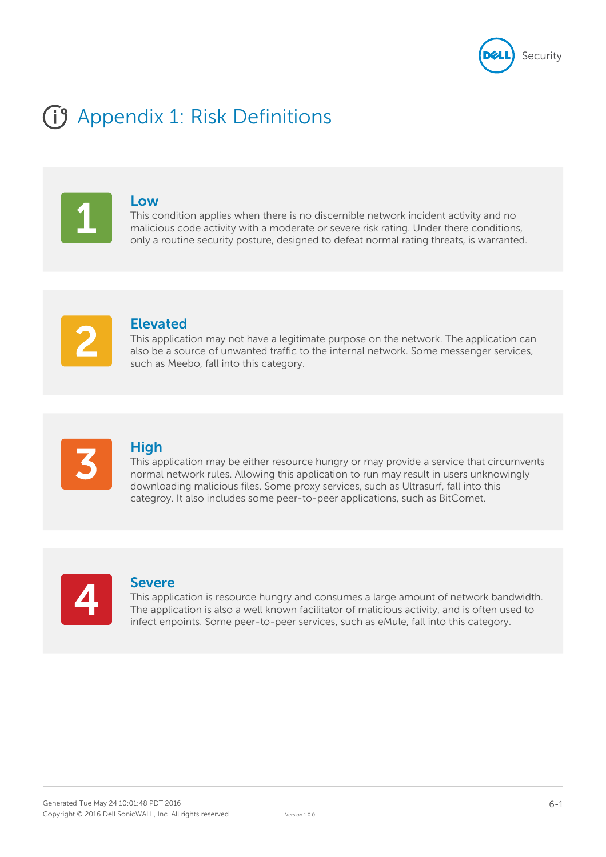

# **(i)** Appendix 1: Risk Definitions

## **Low**

This condition applies when there is no discernible network incident activity and no malicious code activity with a moderate or severe risk rating. Under there conditions, only a routine security posture, designed to defeat normal rating threats, is warranted.

# **Elevated**

This application may not have a legitimate purpose on the network. The application can also be a source of unwanted traffic to the internal network. Some messenger services, such as Meebo, fall into this category.



# **High**

This application may be either resource hungry or may provide a service that circumvents normal network rules. Allowing this application to run may result in users unknowingly downloading malicious files. Some proxy services, such as Ultrasurf, fall into this categroy. It also includes some peer-to-peer applications, such as BitComet.



# **Severe**

This application is resource hungry and consumes a large amount of network bandwidth. The application is also a well known facilitator of malicious activity, and is often used to infect enpoints. Some peer-to-peer services, such as eMule, fall into this category.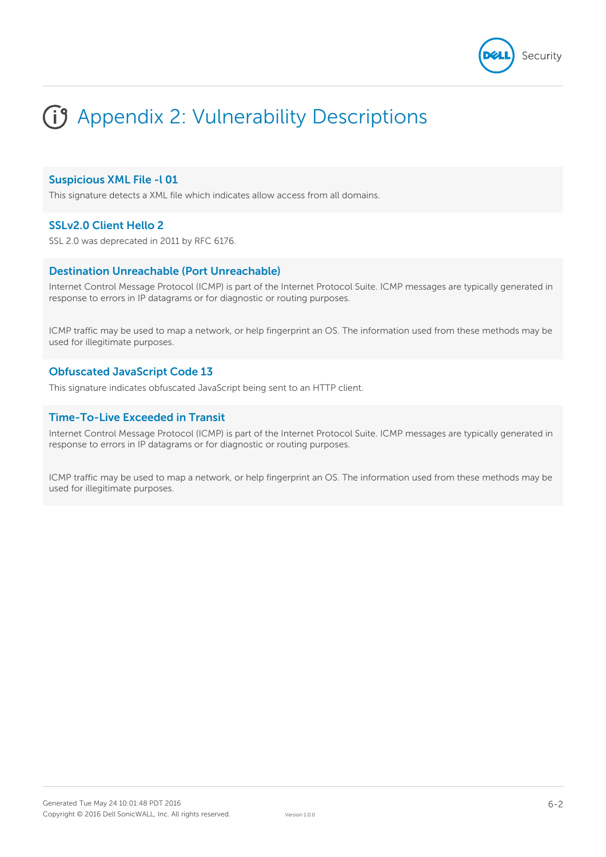

# G Appendix 2: Vulnerability Descriptions

### **Suspicious XML File -l 01**

This signature detects a XML file which indicates allow access from all domains.

# **SSLv2.0 Client Hello 2**

SSL 2.0 was deprecated in 2011 by RFC 6176.

### **Destination Unreachable (Port Unreachable)**

Internet Control Message Protocol (ICMP) is part of the Internet Protocol Suite. ICMP messages are typically generated in response to errors in IP datagrams or for diagnostic or routing purposes.

ICMP traffic may be used to map a network, or help fingerprint an OS. The information used from these methods may be used for illegitimate purposes.

### **Obfuscated JavaScript Code 13**

This signature indicates obfuscated JavaScript being sent to an HTTP client.

# **Time-To-Live Exceeded in Transit**

Internet Control Message Protocol (ICMP) is part of the Internet Protocol Suite. ICMP messages are typically generated in response to errors in IP datagrams or for diagnostic or routing purposes.

ICMP traffic may be used to map a network, or help fingerprint an OS. The information used from these methods may be used for illegitimate purposes.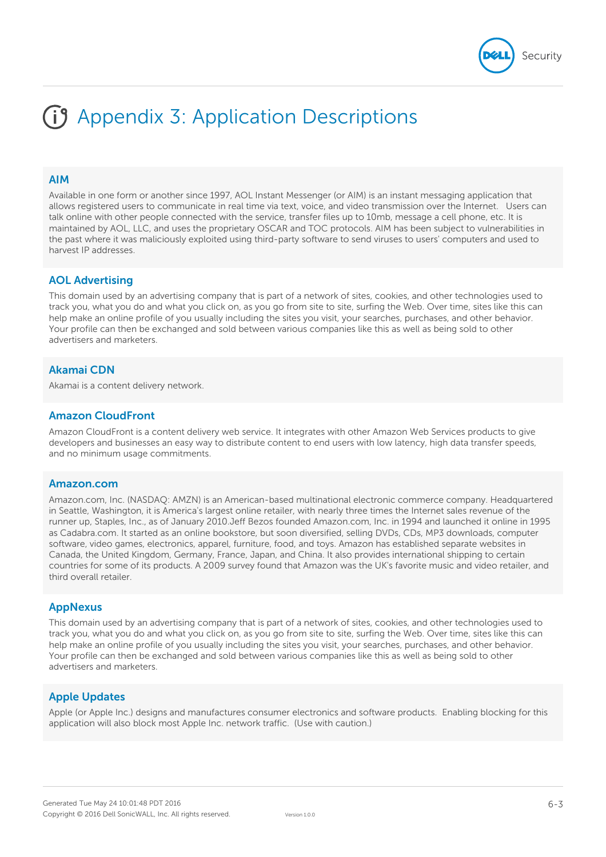

#### **AIM**

Available in one form or another since 1997, AOL Instant Messenger (or AIM) is an instant messaging application that allows registered users to communicate in real time via text, voice, and video transmission over the Internet. Users can talk online with other people connected with the service, transfer files up to 10mb, message a cell phone, etc. It is maintained by AOL, LLC, and uses the proprietary OSCAR and TOC protocols. AIM has been subject to vulnerabilities in the past where it was maliciously exploited using third-party software to send viruses to users' computers and used to harvest IP addresses.

#### **AOL Advertising**

This domain used by an advertising company that is part of a network of sites, cookies, and other technologies used to track you, what you do and what you click on, as you go from site to site, surfing the Web. Over time, sites like this can help make an online profile of you usually including the sites you visit, your searches, purchases, and other behavior. Your profile can then be exchanged and sold between various companies like this as well as being sold to other advertisers and marketers.

#### **Akamai CDN**

Akamai is a content delivery network.

#### **Amazon CloudFront**

Amazon CloudFront is a content delivery web service. It integrates with other Amazon Web Services products to give developers and businesses an easy way to distribute content to end users with low latency, high data transfer speeds, and no minimum usage commitments.

#### **Amazon.com**

Amazon.com, Inc. (NASDAQ: AMZN) is an American-based multinational electronic commerce company. Headquartered in Seattle, Washington, it is America's largest online retailer, with nearly three times the Internet sales revenue of the runner up, Staples, Inc., as of January 2010.Jeff Bezos founded Amazon.com, Inc. in 1994 and launched it online in 1995 as Cadabra.com. It started as an online bookstore, but soon diversified, selling DVDs, CDs, MP3 downloads, computer software, video games, electronics, apparel, furniture, food, and toys. Amazon has established separate websites in Canada, the United Kingdom, Germany, France, Japan, and China. It also provides international shipping to certain countries for some of its products. A 2009 survey found that Amazon was the UK's favorite music and video retailer, and third overall retailer.

#### **AppNexus**

This domain used by an advertising company that is part of a network of sites, cookies, and other technologies used to track you, what you do and what you click on, as you go from site to site, surfing the Web. Over time, sites like this can help make an online profile of you usually including the sites you visit, your searches, purchases, and other behavior. Your profile can then be exchanged and sold between various companies like this as well as being sold to other advertisers and marketers.

### **Apple Updates**

Apple (or Apple Inc.) designs and manufactures consumer electronics and software products. Enabling blocking for this application will also block most Apple Inc. network traffic. (Use with caution.)

Security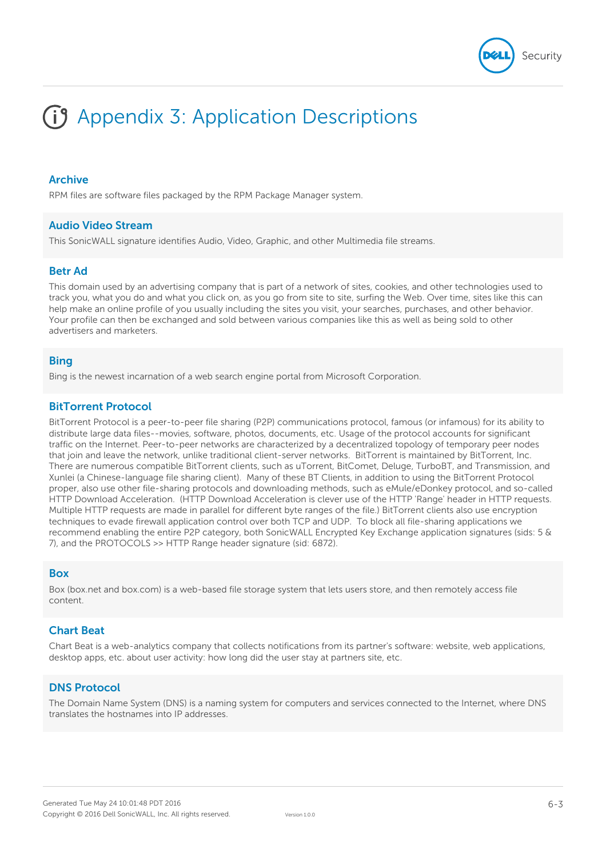

## **Archive**

RPM files are software files packaged by the RPM Package Manager system.

### **Audio Video Stream**

This SonicWALL signature identifies Audio, Video, Graphic, and other Multimedia file streams.

### **Betr Ad**

This domain used by an advertising company that is part of a network of sites, cookies, and other technologies used to track you, what you do and what you click on, as you go from site to site, surfing the Web. Over time, sites like this can help make an online profile of you usually including the sites you visit, your searches, purchases, and other behavior. Your profile can then be exchanged and sold between various companies like this as well as being sold to other advertisers and marketers.

### **Bing**

Bing is the newest incarnation of a web search engine portal from Microsoft Corporation.

#### **BitTorrent Protocol**

BitTorrent Protocol is a peer-to-peer file sharing (P2P) communications protocol, famous (or infamous) for its ability to distribute large data files--movies, software, photos, documents, etc. Usage of the protocol accounts for significant traffic on the Internet. Peer-to-peer networks are characterized by a decentralized topology of temporary peer nodes that join and leave the network, unlike traditional client-server networks. BitTorrent is maintained by BitTorrent, Inc. There are numerous compatible BitTorrent clients, such as uTorrent, BitComet, Deluge, TurboBT, and Transmission, and Xunlei (a Chinese-language file sharing client). Many of these BT Clients, in addition to using the BitTorrent Protocol proper, also use other file-sharing protocols and downloading methods, such as eMule/eDonkey protocol, and so-called HTTP Download Acceleration. (HTTP Download Acceleration is clever use of the HTTP 'Range' header in HTTP requests. Multiple HTTP requests are made in parallel for different byte ranges of the file.) BitTorrent clients also use encryption techniques to evade firewall application control over both TCP and UDP. To block all file-sharing applications we recommend enabling the entire P2P category, both SonicWALL Encrypted Key Exchange application signatures (sids: 5 & 7), and the PROTOCOLS >> HTTP Range header signature (sid: 6872).

#### **Box**

Box (box.net and box.com) is a web-based file storage system that lets users store, and then remotely access file content.

### **Chart Beat**

Chart Beat is a web-analytics company that collects notifications from its partner's software: website, web applications, desktop apps, etc. about user activity: how long did the user stay at partners site, etc.

### **DNS Protocol**

The Domain Name System (DNS) is a naming system for computers and services connected to the Internet, where DNS translates the hostnames into IP addresses.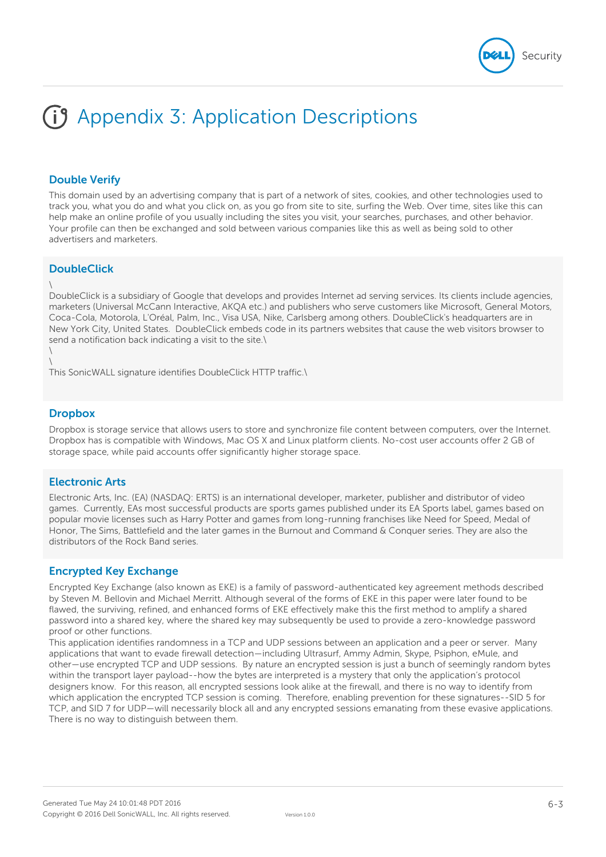

# **Double Verify**

This domain used by an advertising company that is part of a network of sites, cookies, and other technologies used to track you, what you do and what you click on, as you go from site to site, surfing the Web. Over time, sites like this can help make an online profile of you usually including the sites you visit, your searches, purchases, and other behavior. Your profile can then be exchanged and sold between various companies like this as well as being sold to other advertisers and marketers.

### **DoubleClick**

#### \

DoubleClick is a subsidiary of Google that develops and provides Internet ad serving services. Its clients include agencies, marketers (Universal McCann Interactive, AKQA etc.) and publishers who serve customers like Microsoft, General Motors, Coca-Cola, Motorola, L'Oréal, Palm, Inc., Visa USA, Nike, Carlsberg among others. DoubleClick's headquarters are in New York City, United States. DoubleClick embeds code in its partners websites that cause the web visitors browser to send a notification back indicating a visit to the site.\

\ \

This SonicWALL signature identifies DoubleClick HTTP traffic.\

### **Dropbox**

Dropbox is storage service that allows users to store and synchronize file content between computers, over the Internet. Dropbox has is compatible with Windows, Mac OS X and Linux platform clients. No-cost user accounts offer 2 GB of storage space, while paid accounts offer significantly higher storage space.

### **Electronic Arts**

Electronic Arts, Inc. (EA) (NASDAQ: ERTS) is an international developer, marketer, publisher and distributor of video games. Currently, EAs most successful products are sports games published under its EA Sports label, games based on popular movie licenses such as Harry Potter and games from long-running franchises like Need for Speed, Medal of Honor, The Sims, Battlefield and the later games in the Burnout and Command & Conquer series. They are also the distributors of the Rock Band series.

### **Encrypted Key Exchange**

Encrypted Key Exchange (also known as EKE) is a family of password-authenticated key agreement methods described by Steven M. Bellovin and Michael Merritt. Although several of the forms of EKE in this paper were later found to be flawed, the surviving, refined, and enhanced forms of EKE effectively make this the first method to amplify a shared password into a shared key, where the shared key may subsequently be used to provide a zero-knowledge password proof or other functions.

This application identifies randomness in a TCP and UDP sessions between an application and a peer or server. Many applications that want to evade firewall detection—including Ultrasurf, Ammy Admin, Skype, Psiphon, eMule, and other—use encrypted TCP and UDP sessions. By nature an encrypted session is just a bunch of seemingly random bytes within the transport layer payload--how the bytes are interpreted is a mystery that only the application's protocol designers know. For this reason, all encrypted sessions look alike at the firewall, and there is no way to identify from which application the encrypted TCP session is coming. Therefore, enabling prevention for these signatures--SID 5 for TCP, and SID 7 for UDP—will necessarily block all and any encrypted sessions emanating from these evasive applications. There is no way to distinguish between them.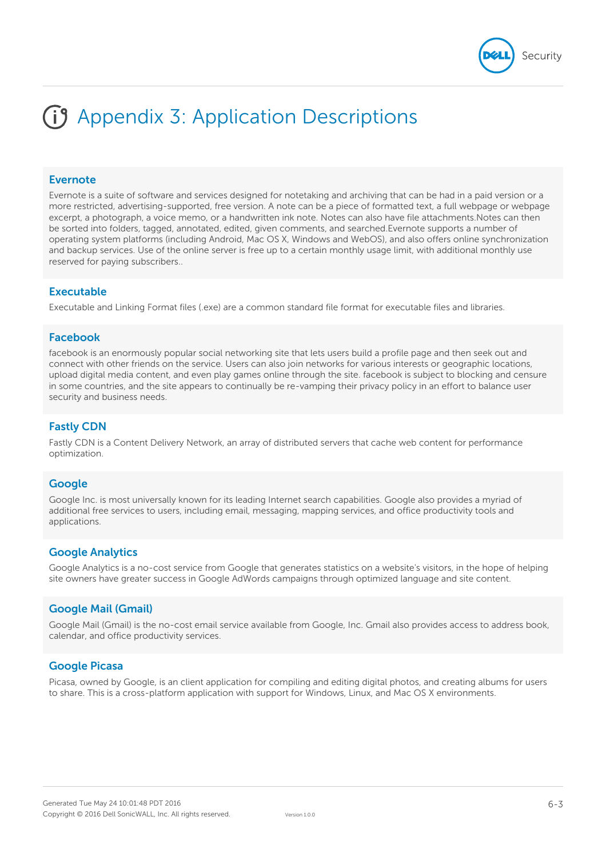#### **Evernote**

Evernote is a suite of software and services designed for notetaking and archiving that can be had in a paid version or a more restricted, advertising-supported, free version. A note can be a piece of formatted text, a full webpage or webpage excerpt, a photograph, a voice memo, or a handwritten ink note. Notes can also have file attachments.Notes can then be sorted into folders, tagged, annotated, edited, given comments, and searched.Evernote supports a number of operating system platforms (including Android, Mac OS X, Windows and WebOS), and also offers online synchronization and backup services. Use of the online server is free up to a certain monthly usage limit, with additional monthly use reserved for paying subscribers..

#### **Executable**

Executable and Linking Format files (.exe) are a common standard file format for executable files and libraries.

#### **Facebook**

facebook is an enormously popular social networking site that lets users build a profile page and then seek out and connect with other friends on the service. Users can also join networks for various interests or geographic locations, upload digital media content, and even play games online through the site. facebook is subject to blocking and censure in some countries, and the site appears to continually be re-vamping their privacy policy in an effort to balance user security and business needs.

#### **Fastly CDN**

Fastly CDN is a Content Delivery Network, an array of distributed servers that cache web content for performance optimization.

#### **Google**

Google Inc. is most universally known for its leading Internet search capabilities. Google also provides a myriad of additional free services to users, including email, messaging, mapping services, and office productivity tools and applications.

#### **Google Analytics**

Google Analytics is a no-cost service from Google that generates statistics on a website's visitors, in the hope of helping site owners have greater success in Google AdWords campaigns through optimized language and site content.

### **Google Mail (Gmail)**

Google Mail (Gmail) is the no-cost email service available from Google, Inc. Gmail also provides access to address book, calendar, and office productivity services.

### **Google Picasa**

Picasa, owned by Google, is an client application for compiling and editing digital photos, and creating albums for users to share. This is a cross-platform application with support for Windows, Linux, and Mac OS X environments.

Security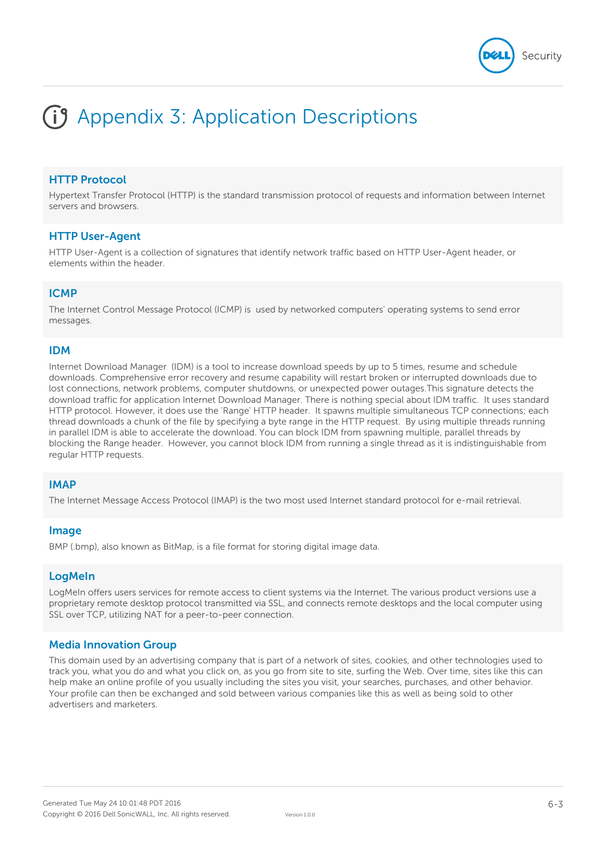

# **HTTP Protocol**

Hypertext Transfer Protocol (HTTP) is the standard transmission protocol of requests and information between Internet servers and browsers.

#### **HTTP User-Agent**

HTTP User-Agent is a collection of signatures that identify network traffic based on HTTP User-Agent header, or elements within the header.

#### **ICMP**

The Internet Control Message Protocol (ICMP) is used by networked computers' operating systems to send error messages.

#### **IDM**

Internet Download Manager (IDM) is a tool to increase download speeds by up to 5 times, resume and schedule downloads. Comprehensive error recovery and resume capability will restart broken or interrupted downloads due to lost connections, network problems, computer shutdowns, or unexpected power outages.This signature detects the download traffic for application Internet Download Manager. There is nothing special about IDM traffic. It uses standard HTTP protocol. However, it does use the 'Range' HTTP header. It spawns multiple simultaneous TCP connections; each thread downloads a chunk of the file by specifying a byte range in the HTTP request. By using multiple threads running in parallel IDM is able to accelerate the download. You can block IDM from spawning multiple, parallel threads by blocking the Range header. However, you cannot block IDM from running a single thread as it is indistinguishable from regular HTTP requests.

### **IMAP**

The Internet Message Access Protocol (IMAP) is the two most used Internet standard protocol for e-mail retrieval.

#### **Image**

BMP (.bmp), also known as BitMap, is a file format for storing digital image data.

### **LogMeIn**

LogMeIn offers users services for remote access to client systems via the Internet. The various product versions use a proprietary remote desktop protocol transmitted via SSL, and connects remote desktops and the local computer using SSL over TCP, utilizing NAT for a peer-to-peer connection.

### **Media Innovation Group**

This domain used by an advertising company that is part of a network of sites, cookies, and other technologies used to track you, what you do and what you click on, as you go from site to site, surfing the Web. Over time, sites like this can help make an online profile of you usually including the sites you visit, your searches, purchases, and other behavior. Your profile can then be exchanged and sold between various companies like this as well as being sold to other advertisers and marketers.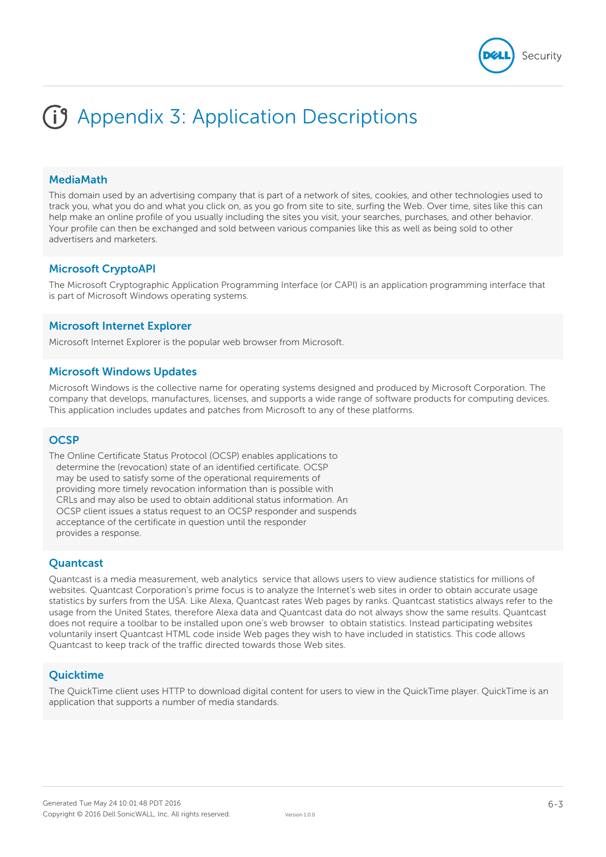### **MediaMath**

This domain used by an advertising company that is part of a network of sites, cookies, and other technologies used to track you, what you do and what you click on, as you go from site to site, surfing the Web. Over time, sites like this can help make an online profile of you usually including the sites you visit, your searches, purchases, and other behavior. Your profile can then be exchanged and sold between various companies like this as well as being sold to other advertisers and marketers.

### **Microsoft CryptoAPI**

The Microsoft Cryptographic Application Programming Interface (or CAPI) is an application programming interface that is part of Microsoft Windows operating systems.

#### **Microsoft Internet Explorer**

Microsoft Internet Explorer is the popular web browser from Microsoft.

#### **Microsoft Windows Updates**

Microsoft Windows is the collective name for operating systems designed and produced by Microsoft Corporation. The company that develops, manufactures, licenses, and supports a wide range of software products for computing devices. This application includes updates and patches from Microsoft to any of these platforms.

#### **OCSP**

The Online Certificate Status Protocol (OCSP) enables applications to determine the (revocation) state of an identified certificate. OCSP may be used to satisfy some of the operational requirements of providing more timely revocation information than is possible with CRLs and may also be used to obtain additional status information. An OCSP client issues a status request to an OCSP responder and suspends acceptance of the certificate in question until the responder provides a response.

### **Quantcast**

Quantcast is a media measurement, web analytics service that allows users to view audience statistics for millions of websites. Quantcast Corporation's prime focus is to analyze the Internet's web sites in order to obtain accurate usage statistics by surfers from the USA. Like Alexa, Quantcast rates Web pages by ranks. Quantcast statistics always refer to the usage from the United States, therefore Alexa data and Quantcast data do not always show the same results. Quantcast does not require a toolbar to be installed upon one's web browser to obtain statistics. Instead participating websites voluntarily insert Quantcast HTML code inside Web pages they wish to have included in statistics. This code allows Quantcast to keep track of the traffic directed towards those Web sites.

#### **Quicktime**

The QuickTime client uses HTTP to download digital content for users to view in the QuickTime player. QuickTime is an application that supports a number of media standards.

Security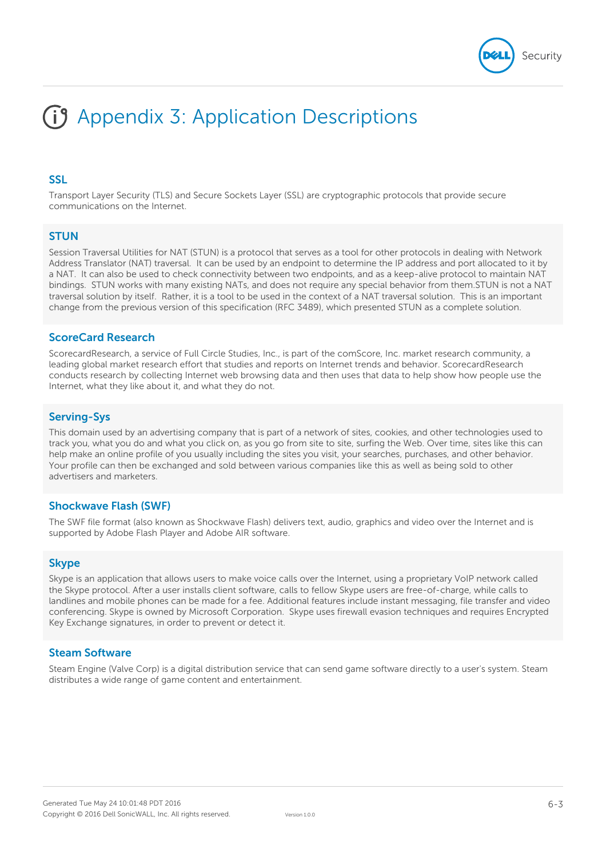

### **SSL**

Transport Layer Security (TLS) and Secure Sockets Layer (SSL) are cryptographic protocols that provide secure communications on the Internet.

### **STUN**

Session Traversal Utilities for NAT (STUN) is a protocol that serves as a tool for other protocols in dealing with Network Address Translator (NAT) traversal. It can be used by an endpoint to determine the IP address and port allocated to it by a NAT. It can also be used to check connectivity between two endpoints, and as a keep-alive protocol to maintain NAT bindings. STUN works with many existing NATs, and does not require any special behavior from them.STUN is not a NAT traversal solution by itself. Rather, it is a tool to be used in the context of a NAT traversal solution. This is an important change from the previous version of this specification (RFC 3489), which presented STUN as a complete solution.

#### **ScoreCard Research**

ScorecardResearch, a service of Full Circle Studies, Inc., is part of the comScore, Inc. market research community, a leading global market research effort that studies and reports on Internet trends and behavior. ScorecardResearch conducts research by collecting Internet web browsing data and then uses that data to help show how people use the Internet, what they like about it, and what they do not.

### **Serving-Sys**

This domain used by an advertising company that is part of a network of sites, cookies, and other technologies used to track you, what you do and what you click on, as you go from site to site, surfing the Web. Over time, sites like this can help make an online profile of you usually including the sites you visit, your searches, purchases, and other behavior. Your profile can then be exchanged and sold between various companies like this as well as being sold to other advertisers and marketers.

### **Shockwave Flash (SWF)**

The SWF file format (also known as Shockwave Flash) delivers text, audio, graphics and video over the Internet and is supported by Adobe Flash Player and Adobe AIR software.

### **Skype**

Skype is an application that allows users to make voice calls over the Internet, using a proprietary VoIP network called the Skype protocol. After a user installs client software, calls to fellow Skype users are free-of-charge, while calls to landlines and mobile phones can be made for a fee. Additional features include instant messaging, file transfer and video conferencing. Skype is owned by Microsoft Corporation. Skype uses firewall evasion techniques and requires Encrypted Key Exchange signatures, in order to prevent or detect it.

#### **Steam Software**

Steam Engine (Valve Corp) is a digital distribution service that can send game software directly to a user's system. Steam distributes a wide range of game content and entertainment.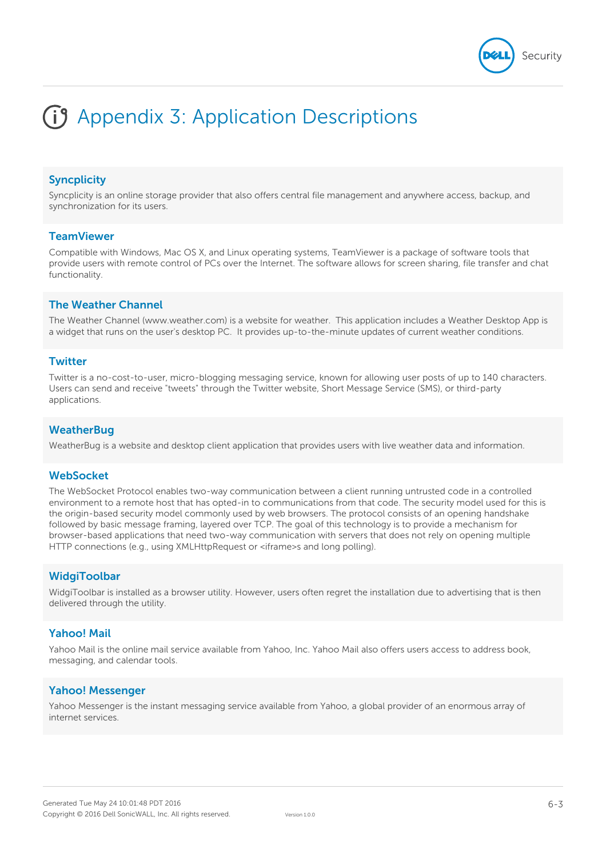

# **Syncplicity**

Syncplicity is an online storage provider that also offers central file management and anywhere access, backup, and synchronization for its users.

#### **TeamViewer**

Compatible with Windows, Mac OS X, and Linux operating systems, TeamViewer is a package of software tools that provide users with remote control of PCs over the Internet. The software allows for screen sharing, file transfer and chat functionality.

#### **The Weather Channel**

The Weather Channel (www.weather.com) is a website for weather. This application includes a Weather Desktop App is a widget that runs on the user's desktop PC. It provides up-to-the-minute updates of current weather conditions.

#### **Twitter**

Twitter is a no-cost-to-user, micro-blogging messaging service, known for allowing user posts of up to 140 characters. Users can send and receive "tweets" through the Twitter website, Short Message Service (SMS), or third-party applications.

### **WeatherBug**

WeatherBug is a website and desktop client application that provides users with live weather data and information.

#### **WebSocket**

The WebSocket Protocol enables two-way communication between a client running untrusted code in a controlled environment to a remote host that has opted-in to communications from that code. The security model used for this is the origin-based security model commonly used by web browsers. The protocol consists of an opening handshake followed by basic message framing, layered over TCP. The goal of this technology is to provide a mechanism for browser-based applications that need two-way communication with servers that does not rely on opening multiple HTTP connections (e.g., using XMLHttpRequest or <iframe>s and long polling).

#### **WidgiToolbar**

WidgiToolbar is installed as a browser utility. However, users often regret the installation due to advertising that is then delivered through the utility.

### **Yahoo! Mail**

Yahoo Mail is the online mail service available from Yahoo, Inc. Yahoo Mail also offers users access to address book, messaging, and calendar tools.

### **Yahoo! Messenger**

Yahoo Messenger is the instant messaging service available from Yahoo, a global provider of an enormous array of internet services.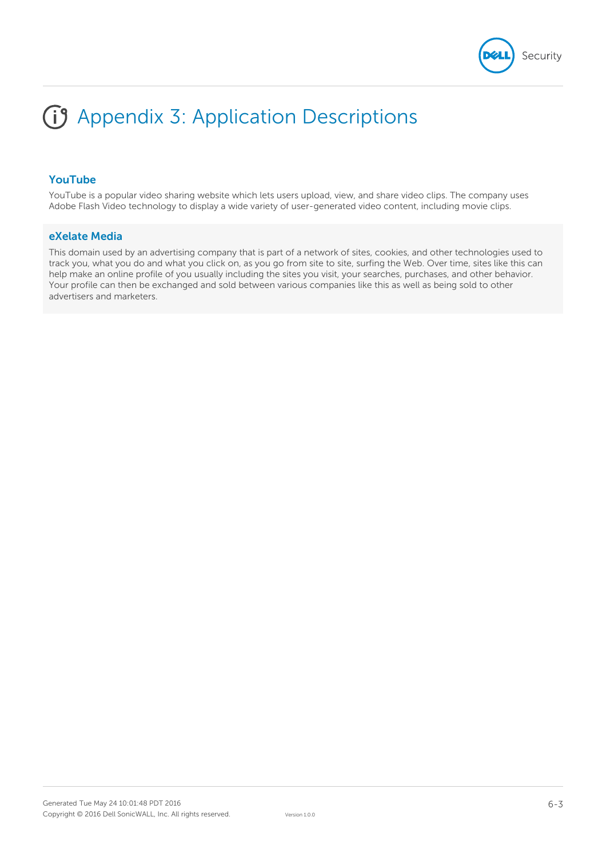

# **YouTube**

YouTube is a popular video sharing website which lets users upload, view, and share video clips. The company uses Adobe Flash Video technology to display a wide variety of user-generated video content, including movie clips.

### **eXelate Media**

This domain used by an advertising company that is part of a network of sites, cookies, and other technologies used to track you, what you do and what you click on, as you go from site to site, surfing the Web. Over time, sites like this can help make an online profile of you usually including the sites you visit, your searches, purchases, and other behavior. Your profile can then be exchanged and sold between various companies like this as well as being sold to other advertisers and marketers.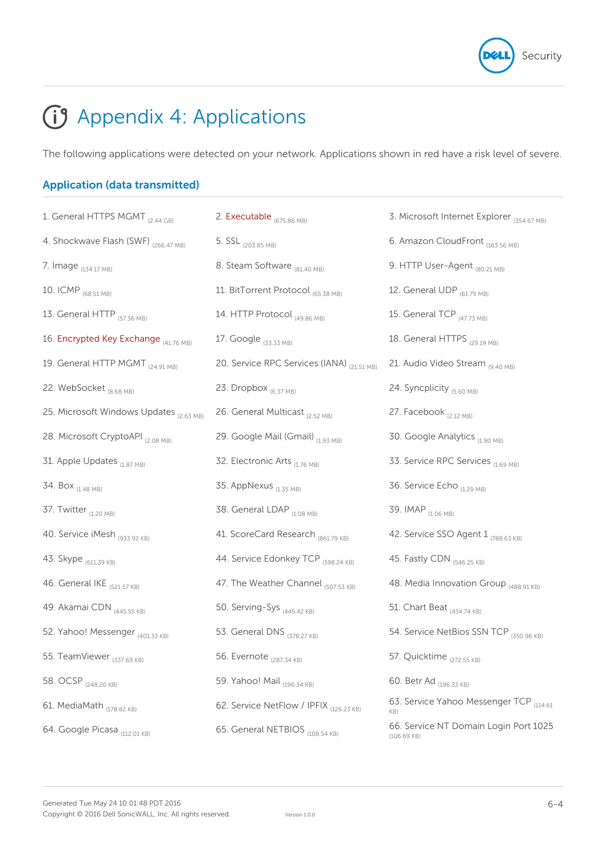

# Appendix 4: Applications

The following applications were detected on your network. Applications shown in red have a risk level of severe.

# **Application (data transmitted)**

| 1. General HTTPS MGMT <sub>(2.44 GB)</sub> | 2. Executable (675.86 MB)                  | 3. Microsoft Internet Explorer (354.67 MB)             |
|--------------------------------------------|--------------------------------------------|--------------------------------------------------------|
| 4. Shockwave Flash (SWF) (266.47 MB)       | 5. SSL <sub>(203.85 MB)</sub>              | 6. Amazon CloudFront (163.56 MB)                       |
| 7. Image (134.17 MB)                       | 8. Steam Software (81.40 MB)               | 9. HTTP User-Agent (80.21 MB)                          |
| 10. ICMP (68.51 MB)                        | 11. BitTorrent Protocol (65.38 MB)         | 12. General UDP (61.79 MB)                             |
| 13. General HTTP (57.36 MB)                | 14. HTTP Protocol (49.86 MB)               | 15. General TCP (47.73 MB)                             |
| 16. Encrypted Key Exchange (41.76 MB)      | 17. Google (33.33 MB)                      | 18. General HTTPS (29.19 MB)                           |
| 19. General HTTP MGMT (24.91 MB)           | 20. Service RPC Services (IANA) (21.51 MB) | 21. Audio Video Stream (9.40 MB)                       |
| 22. WebSocket (8.68 MB)                    | 23. Dropbox (6.37 MB)                      | 24. Syncplicity (5.60 MB)                              |
| 25. Microsoft Windows Updates (2.63 MB)    | 26. General Multicast (2.52 MB)            | 27. Facebook (2.12 MB)                                 |
| 28. Microsoft CryptoAPI (2.08 MB)          | 29. Google Mail (Gmail) (1.93 MB)          | 30. Google Analytics (1.90 MB)                         |
| 31. Apple Updates (1.87 MB)                | 32. Electronic Arts (1.76 MB)              | 33. Service RPC Services (1.69 MB)                     |
| 34. Box <sub>(1.48 MB)</sub>               | 35. AppNexus (1.35 MB)                     | 36. Service Echo (1.29 MB)                             |
| 37. Twitter (1.20 MB)                      | 38. General LDAP (1.08 MB)                 | 39. IMAP (1.06 MB)                                     |
| 40. Service iMesh (933.92 KB)              | 41. ScoreCard Research (861.79 KB)         | 42. Service SSO Agent 1 (788.63 KB)                    |
| 43. Skype (611.39 KB)                      | 44. Service Edonkey TCP (598.24 KB)        | 45. Fastly CDN (546.25 KB)                             |
| 46. General IKE (521.57 KB)                | 47. The Weather Channel (507.53 KB)        | 48. Media Innovation Group (488.91 KB)                 |
| 49. Akamai CDN (445.55 KB)                 | 50. Serving-Sys (445.42 KB)                | 51. Chart Beat (434.74 KB)                             |
| 52. Yahoo! Messenger (401.33 KB)           | 53. General DNS (378.27 KB)                | 54. Service NetBios SSN TCP (350.96 KB)                |
| 55. TeamViewer (337.69 KB)                 | 56. Evernote <sub>(287.34 KB)</sub>        | 57. Quicktime <sub>(272.55 KB)</sub>                   |
| 58. OCSP (248.20 KB)                       | 59. Yahoo! Mail (196.34 KB)                | 60. Betr Ad (196.33 KB)                                |
| 61. MediaMath (178.82 KB)                  | 62. Service NetFlow / IPFIX (126.23 KB)    | 63. Service Yahoo Messenger TCP (114.61)<br>KB)        |
| 64. Google Picasa (112.01 KB)              | 65. General NETBIOS (108.54 KB)            | 66. Service NT Domain Login Port 1025<br>$(106.69$ KB) |